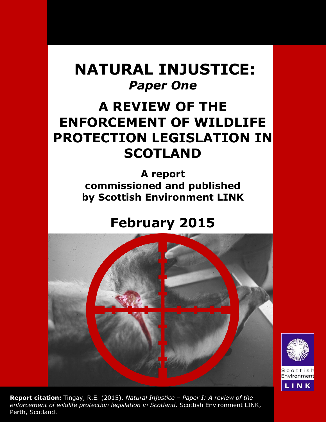# **NATURAL INJUSTICE:** *Paper One*

# **A REVIEW OF THE ENFORCEMENT OF WILDLIFE PROTECTION LEGISLATION IN SCOTLAND**

**A report commissioned and published by Scottish Environment LINK**

# **February 2015**



Scottis Environmen LINK

**Report citation:** Tingay, R.E. (2015). *Natural Injustice – Paper I: A review of the enforcement of wildlife protection legislation in Scotland*. Scottish Environment LINK, Perth, Scotland.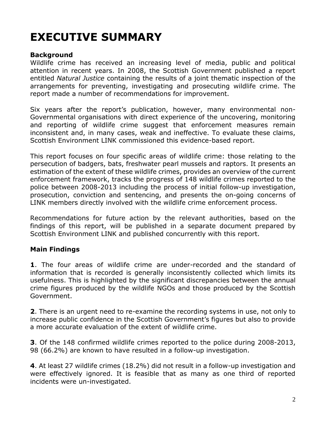# **EXECUTIVE SUMMARY**

## **Background**

Wildlife crime has received an increasing level of media, public and political attention in recent years. In 2008, the Scottish Government published a report entitled *Natural Justice* containing the results of a joint thematic inspection of the arrangements for preventing, investigating and prosecuting wildlife crime. The report made a number of recommendations for improvement.

Six years after the report's publication, however, many environmental non-Governmental organisations with direct experience of the uncovering, monitoring and reporting of wildlife crime suggest that enforcement measures remain inconsistent and, in many cases, weak and ineffective. To evaluate these claims, Scottish Environment LINK commissioned this evidence-based report.

This report focuses on four specific areas of wildlife crime: those relating to the persecution of badgers, bats, freshwater pearl mussels and raptors. It presents an estimation of the extent of these wildlife crimes, provides an overview of the current enforcement framework, tracks the progress of 148 wildlife crimes reported to the police between 2008-2013 including the process of initial follow-up investigation, prosecution, conviction and sentencing, and presents the on-going concerns of LINK members directly involved with the wildlife crime enforcement process.

Recommendations for future action by the relevant authorities, based on the findings of this report, will be published in a separate document prepared by Scottish Environment LINK and published concurrently with this report.

## **Main Findings**

**1**. The four areas of wildlife crime are under-recorded and the standard of information that is recorded is generally inconsistently collected which limits its usefulness. This is highlighted by the significant discrepancies between the annual crime figures produced by the wildlife NGOs and those produced by the Scottish Government.

**2**. There is an urgent need to re-examine the recording systems in use, not only to increase public confidence in the Scottish Government's figures but also to provide a more accurate evaluation of the extent of wildlife crime.

**3**. Of the 148 confirmed wildlife crimes reported to the police during 2008-2013, 98 (66.2%) are known to have resulted in a follow-up investigation.

**4**. At least 27 wildlife crimes (18.2%) did not result in a follow-up investigation and were effectively ignored. It is feasible that as many as one third of reported incidents were un-investigated.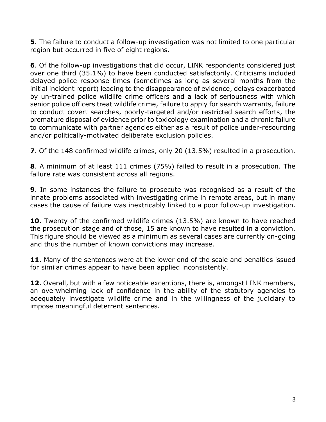**5**. The failure to conduct a follow-up investigation was not limited to one particular region but occurred in five of eight regions.

**6**. Of the follow-up investigations that did occur, LINK respondents considered just over one third (35.1%) to have been conducted satisfactorily. Criticisms included delayed police response times (sometimes as long as several months from the initial incident report) leading to the disappearance of evidence, delays exacerbated by un-trained police wildlife crime officers and a lack of seriousness with which senior police officers treat wildlife crime, failure to apply for search warrants, failure to conduct covert searches, poorly-targeted and/or restricted search efforts, the premature disposal of evidence prior to toxicology examination and a chronic failure to communicate with partner agencies either as a result of police under-resourcing and/or politically-motivated deliberate exclusion policies.

**7**. Of the 148 confirmed wildlife crimes, only 20 (13.5%) resulted in a prosecution.

**8**. A minimum of at least 111 crimes (75%) failed to result in a prosecution. The failure rate was consistent across all regions.

**9**. In some instances the failure to prosecute was recognised as a result of the innate problems associated with investigating crime in remote areas, but in many cases the cause of failure was inextricably linked to a poor follow-up investigation.

**10**. Twenty of the confirmed wildlife crimes (13.5%) are known to have reached the prosecution stage and of those, 15 are known to have resulted in a conviction. This figure should be viewed as a minimum as several cases are currently on-going and thus the number of known convictions may increase.

**11**. Many of the sentences were at the lower end of the scale and penalties issued for similar crimes appear to have been applied inconsistently.

**12**. Overall, but with a few noticeable exceptions, there is, amongst LINK members, an overwhelming lack of confidence in the ability of the statutory agencies to adequately investigate wildlife crime and in the willingness of the judiciary to impose meaningful deterrent sentences.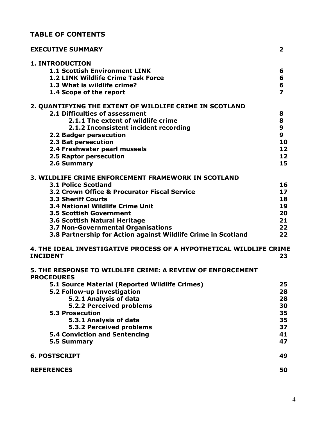# **TABLE OF CONTENTS**

| <b>EXECUTIVE SUMMARY</b>                                                        | $\overline{2}$          |
|---------------------------------------------------------------------------------|-------------------------|
| <b>1. INTRODUCTION</b>                                                          |                         |
| <b>1.1 Scottish Environment LINK</b>                                            | 6                       |
| 1.2 LINK Wildlife Crime Task Force                                              | 6                       |
| 1.3 What is wildlife crime?                                                     | 6                       |
| 1.4 Scope of the report                                                         | $\overline{\mathbf{z}}$ |
| 2. QUANTIFYING THE EXTENT OF WILDLIFE CRIME IN SCOTLAND                         |                         |
| 2.1 Difficulties of assessment                                                  | 8                       |
| 2.1.1 The extent of wildlife crime                                              | 8                       |
| 2.1.2 Inconsistent incident recording                                           | 9                       |
| 2.2 Badger persecution                                                          | $\boldsymbol{9}$        |
| 2.3 Bat persecution                                                             | 10                      |
| 2.4 Freshwater pearl mussels                                                    | 12                      |
| 2.5 Raptor persecution                                                          | 12                      |
| 2.6 Summary                                                                     | 15                      |
| 3. WILDLIFE CRIME ENFORCEMENT FRAMEWORK IN SCOTLAND                             |                         |
| <b>3.1 Police Scotland</b>                                                      | 16                      |
| 3.2 Crown Office & Procurator Fiscal Service                                    | 17                      |
| <b>3.3 Sheriff Courts</b>                                                       | 18                      |
| <b>3.4 National Wildlife Crime Unit</b>                                         | 19                      |
| <b>3.5 Scottish Government</b>                                                  | 20                      |
| 3.6 Scottish Natural Heritage                                                   | 21                      |
| 3.7 Non-Governmental Organisations                                              | 22                      |
| 3.8 Partnership for Action against Wildlife Crime in Scotland                   | 22                      |
| 4. THE IDEAL INVESTIGATIVE PROCESS OF A HYPOTHETICAL WILDLIFE CRIME             |                         |
| <b>INCIDENT</b>                                                                 | 23                      |
| 5. THE RESPONSE TO WILDLIFE CRIME: A REVIEW OF ENFORCEMENT<br><b>PROCEDURES</b> |                         |
| 5.1 Source Material (Reported Wildlife Crimes)                                  | 25                      |
| 5.2 Follow-up Investigation                                                     | 28                      |
| 5.2.1 Analysis of data                                                          | 28                      |
| <b>5.2.2 Perceived problems</b>                                                 | 30                      |
| <b>5.3 Prosecution</b>                                                          | 35                      |
| 5.3.1 Analysis of data                                                          | 35                      |
| 5.3.2 Perceived problems                                                        | 37                      |
| <b>5.4 Conviction and Sentencing</b>                                            | 41                      |
| 5.5 Summary                                                                     | 47                      |
| <b>6. POSTSCRIPT</b>                                                            | 49                      |
| <b>REFERENCES</b>                                                               | 50                      |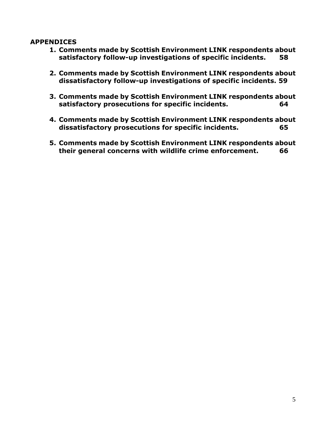#### **APPENDICES**

- **1. Comments made by Scottish Environment LINK respondents about satisfactory follow-up investigations of specific incidents. 58**
- **2. Comments made by Scottish Environment LINK respondents about dissatisfactory follow-up investigations of specific incidents. 59**
- **3. Comments made by Scottish Environment LINK respondents about satisfactory prosecutions for specific incidents. 64**
- **4. Comments made by Scottish Environment LINK respondents about dissatisfactory prosecutions for specific incidents. 65**
- **5. Comments made by Scottish Environment LINK respondents about their general concerns with wildlife crime enforcement. 66**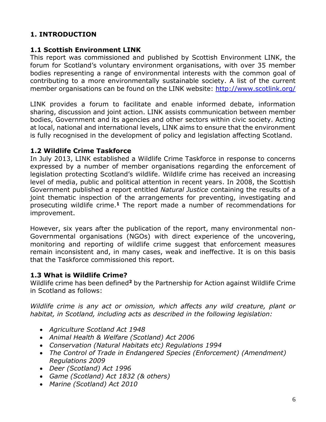## **1. INTRODUCTION**

#### **1.1 Scottish Environment LINK**

This report was commissioned and published by Scottish Environment LINK, the forum for Scotland's voluntary environment organisations, with over 35 member bodies representing a range of environmental interests with the common goal of contributing to a more environmentally sustainable society. A list of the current member organisations can be found on the LINK website:<http://www.scotlink.org/>

LINK provides a forum to facilitate and enable informed debate, information sharing, discussion and joint action. LINK assists communication between member bodies, Government and its agencies and other sectors within civic society. Acting at local, national and international levels, LINK aims to ensure that the environment is fully recognised in the development of policy and legislation affecting Scotland.

#### **1.2 Wildlife Crime Taskforce**

In July 2013, LINK established a Wildlife Crime Taskforce in response to concerns expressed by a number of member organisations regarding the enforcement of legislation protecting Scotland's wildlife. Wildlife crime has received an increasing level of media, public and political attention in recent years. In 2008, the Scottish Government published a report entitled *Natural Justice* containing the results of a joint thematic inspection of the arrangements for preventing, investigating and prosecuting wildlife crime. **<sup>1</sup>** The report made a number of recommendations for improvement.

However, six years after the publication of the report, many environmental non-Governmental organisations (NGOs) with direct experience of the uncovering, monitoring and reporting of wildlife crime suggest that enforcement measures remain inconsistent and, in many cases, weak and ineffective. It is on this basis that the Taskforce commissioned this report.

## **1.3 What is Wildlife Crime?**

Wildlife crime has been defined**<sup>2</sup>** by the Partnership for Action against Wildlife Crime in Scotland as follows:

*Wildlife crime is any act or omission, which affects any wild creature, plant or habitat, in Scotland, including acts as described in the following legislation:*

- *Agriculture Scotland Act 1948*
- *Animal Health & Welfare (Scotland) Act 2006*
- *Conservation (Natural Habitats etc) Regulations 1994*
- *The Control of Trade in Endangered Species (Enforcement) (Amendment) Regulations 2009*
- *Deer (Scotland) Act 1996*
- *Game (Scotland) Act 1832 (& others)*
- *Marine (Scotland) Act 2010*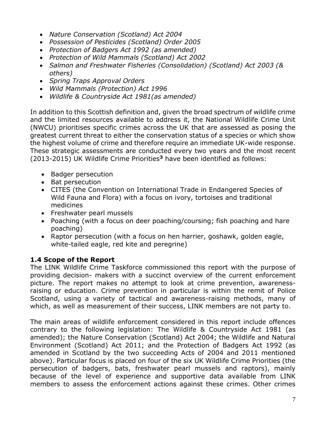- *Nature Conservation (Scotland) Act 2004*
- *Possession of Pesticides (Scotland) Order 2005*
- *Protection of Badgers Act 1992 (as amended)*
- *Protection of Wild Mammals (Scotland) Act 2002*
- *Salmon and Freshwater Fisheries (Consolidation) (Scotland) Act 2003 (& others)*
- *Spring Traps Approval Orders*
- *Wild Mammals (Protection) Act 1996*
- *Wildlife & Countryside Act 1981(as amended)*

In addition to this Scottish definition and, given the broad spectrum of wildlife crime and the limited resources available to address it, the National Wildlife Crime Unit (NWCU) prioritises specific crimes across the UK that are assessed as posing the greatest current threat to either the conservation status of a species or which show the highest volume of crime and therefore require an immediate UK-wide response. These strategic assessments are conducted every two years and the most recent (2013-2015) UK Wildlife Crime Priorities**<sup>3</sup>** have been identified as follows:

- Badger persecution
- Bat persecution
- CITES (the Convention on International Trade in Endangered Species of Wild Fauna and Flora) with a focus on ivory, tortoises and traditional medicines
- Freshwater pearl mussels
- Poaching (with a focus on deer poaching/coursing; fish poaching and hare poaching)
- Raptor persecution (with a focus on hen harrier, goshawk, golden eagle, white-tailed eagle, red kite and peregrine)

## **1.4 Scope of the Report**

The LINK Wildlife Crime Taskforce commissioned this report with the purpose of providing decision- makers with a succinct overview of the current enforcement picture. The report makes no attempt to look at crime prevention, awarenessraising or education. Crime prevention in particular is within the remit of Police Scotland, using a variety of tactical and awareness-raising methods, many of which, as well as measurement of their success, LINK members are not party to.

The main areas of wildlife enforcement considered in this report include offences contrary to the following legislation: The Wildlife & Countryside Act 1981 (as amended); the Nature Conservation (Scotland) Act 2004; the Wildlife and Natural Environment (Scotland) Act 2011; and the Protection of Badgers Act 1992 (as amended in Scotland by the two succeeding Acts of 2004 and 2011 mentioned above). Particular focus is placed on four of the six UK Wildlife Crime Priorities (the persecution of badgers, bats, freshwater pearl mussels and raptors), mainly because of the level of experience and supportive data available from LINK members to assess the enforcement actions against these crimes. Other crimes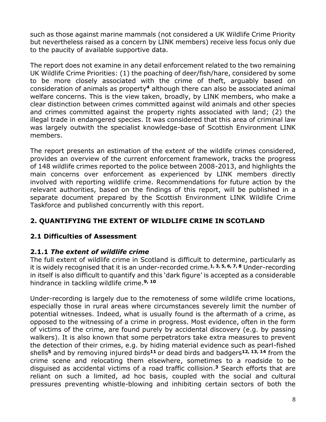such as those against marine mammals (not considered a UK Wildlife Crime Priority but nevertheless raised as a concern by LINK members) receive less focus only due to the paucity of available supportive data.

The report does not examine in any detail enforcement related to the two remaining UK Wildlife Crime Priorities: (1) the poaching of deer/fish/hare, considered by some to be more closely associated with the crime of theft, arguably based on consideration of animals as property**<sup>4</sup>** although there can also be associated animal welfare concerns. This is the view taken, broadly, by LINK members, who make a clear distinction between crimes committed against wild animals and other species and crimes committed against the property rights associated with land; (2) the illegal trade in endangered species. It was considered that this area of criminal law was largely outwith the specialist knowledge-base of Scottish Environment LINK members.

The report presents an estimation of the extent of the wildlife crimes considered, provides an overview of the current enforcement framework, tracks the progress of 148 wildlife crimes reported to the police between 2008-2013, and highlights the main concerns over enforcement as experienced by LINK members directly involved with reporting wildlife crime. Recommendations for future action by the relevant authorities, based on the findings of this report, will be published in a separate document prepared by the Scottish Environment LINK Wildlife Crime Taskforce and published concurrently with this report.

# **2. QUANTIFYING THE EXTENT OF WILDLIFE CRIME IN SCOTLAND**

# **2.1 Difficulties of Assessment**

# **2.1.1** *The extent of wildlife crime*

The full extent of wildlife crime in Scotland is difficult to determine, particularly as it is widely recognised that it is an under-recorded crime. **1, 3, 5, 6, 7, <sup>8</sup>** Under-recording in itself is also difficult to quantify and this 'dark figure' is accepted as a considerable hindrance in tackling wildlife crime. **9, 10**

Under-recording is largely due to the remoteness of some wildlife crime locations, especially those in rural areas where circumstances severely limit the number of potential witnesses. Indeed, what is usually found is the aftermath of a crime, as opposed to the witnessing of a crime in progress. Most evidence, often in the form of victims of the crime, are found purely by accidental discovery (e.g. by passing walkers). It is also known that some perpetrators take extra measures to prevent the detection of their crimes, e.g. by hiding material evidence such as pearl-fished shells**<sup>5</sup>** and by removing injured birds**<sup>11</sup>** or dead birds and badgers**12, 13, <sup>14</sup>** from the crime scene and relocating them elsewhere, sometimes to a roadside to be disguised as accidental victims of a road traffic collision. **<sup>3</sup>** Search efforts that are reliant on such a limited, ad hoc basis, coupled with the social and cultural pressures preventing whistle-blowing and inhibiting certain sectors of both the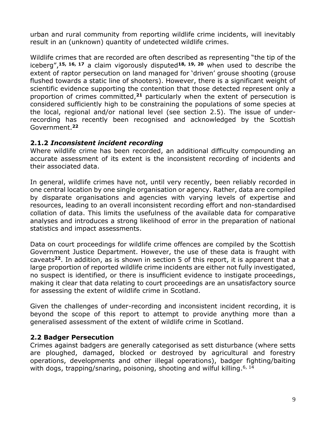urban and rural community from reporting wildlife crime incidents, will inevitably result in an (unknown) quantity of undetected wildlife crimes.

Wildlife crimes that are recorded are often described as representing "the tip of the iceberg", **15, 16, 17** a claim vigorously disputed**18, 19, 20** when used to describe the extent of raptor persecution on land managed for 'driven' grouse shooting (grouse flushed towards a static line of shooters). However, there is a significant weight of scientific evidence supporting the contention that those detected represent only a proportion of crimes committed, **<sup>21</sup>** particularly when the extent of persecution is considered sufficiently high to be constraining the populations of some species at the local, regional and/or national level (see section 2.5). The issue of underrecording has recently been recognised and acknowledged by the Scottish Government. **22**

## **2.1.2** *Inconsistent incident recording*

Where wildlife crime has been recorded, an additional difficulty compounding an accurate assessment of its extent is the inconsistent recording of incidents and their associated data.

In general, wildlife crimes have not, until very recently, been reliably recorded in one central location by one single organisation or agency. Rather, data are compiled by disparate organisations and agencies with varying levels of expertise and resources, leading to an overall inconsistent recording effort and non-standardised collation of data. This limits the usefulness of the available data for comparative analyses and introduces a strong likelihood of error in the preparation of national statistics and impact assessments.

Data on court proceedings for wildlife crime offences are compiled by the Scottish Government Justice Department. However, the use of these data is fraught with caveats**<sup>22</sup>**. In addition, as is shown in section 5 of this report, it is apparent that a large proportion of reported wildlife crime incidents are either not fully investigated, no suspect is identified, or there is insufficient evidence to instigate proceedings, making it clear that data relating to court proceedings are an unsatisfactory source for assessing the extent of wildlife crime in Scotland.

Given the challenges of under-recording and inconsistent incident recording, it is beyond the scope of this report to attempt to provide anything more than a generalised assessment of the extent of wildlife crime in Scotland.

## **2.2 Badger Persecution**

Crimes against badgers are generally categorised as sett disturbance (where setts are ploughed, damaged, blocked or destroyed by agricultural and forestry operations, developments and other illegal operations), badger fighting/baiting with dogs, trapping/snaring, poisoning, shooting and wilful killing.<sup>6, 14</sup>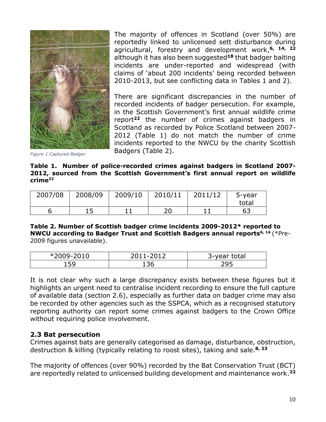

The majority of offences in Scotland (over 50%) are reportedly linked to unlicensed sett disturbance during agricultural, forestry and development work, **6, 14, 22** although it has also been suggested**<sup>18</sup>** that badger baiting incidents are under-reported and widespread (with claims of 'about 200 incidents' being recorded between 2010-2013, but see conflicting data in Tables 1 and 2).

There are significant discrepancies in the number of recorded incidents of badger persecution. For example, in the Scottish Government's first annual wildlife crime report**<sup>22</sup>** the number of crimes against badgers in Scotland as recorded by Police Scotland between 2007- 2012 (Table 1) do not match the number of crime incidents reported to the NWCU by the charity Scottish Badgers (Table 2).

*Figure 1 Captured Badger*

**Table 1. Number of police-recorded crimes against badgers in Scotland 2007- 2012, sourced from the Scottish Government's first annual report on wildlife crime<sup>22</sup>**

| 2007/08 | 2008/09 | 2009/10 | 2010/11 | 2011/12 | 5-year |
|---------|---------|---------|---------|---------|--------|
|         |         |         |         |         | total  |
|         |         |         | 20      |         | 63     |

#### **Table 2. Number of Scottish badger crime incidents 2009-2012\* reported to NWCU according to Badger Trust and Scottish Badgers annual reports6, 14** (\*Pre-2009 figures unavailable).

| *2009-2010 | . - 2012<br>-- | 3-year total |
|------------|----------------|--------------|
| 159        | 136            | 29F          |

It is not clear why such a large discrepancy exists between these figures but it highlights an urgent need to centralise incident recording to ensure the full capture of available data (section 2.6), especially as further data on badger crime may also be recorded by other agencies such as the SSPCA, which as a recognised statutory reporting authority can report some crimes against badgers to the Crown Office without requiring police involvement.

#### **2.3 Bat persecution**

Crimes against bats are generally categorised as damage, disturbance, obstruction, destruction & killing (typically relating to roost sites), taking and sale. **8, 23**

The majority of offences (over 90%) recorded by the Bat Conservation Trust (BCT) are reportedly related to unlicensed building development and maintenance work. **22**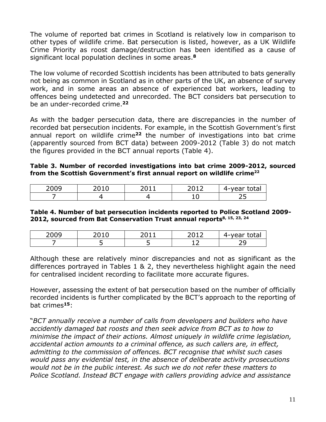The volume of reported bat crimes in Scotland is relatively low in comparison to other types of wildlife crime. Bat persecution is listed, however, as a UK Wildlife Crime Priority as roost damage/destruction has been identified as a cause of significant local population declines in some areas. **8**

The low volume of recorded Scottish incidents has been attributed to bats generally not being as common in Scotland as in other parts of the UK, an absence of survey work, and in some areas an absence of experienced bat workers, leading to offences being undetected and unrecorded. The BCT considers bat persecution to be an under-recorded crime. **22**

As with the badger persecution data, there are discrepancies in the number of recorded bat persecution incidents. For example, in the Scottish Government's first annual report on wildlife crime**<sup>22</sup>** the number of investigations into bat crime (apparently sourced from BCT data) between 2009-2012 (Table 3) do not match the figures provided in the BCT annual reports (Table 4).

#### **Table 3. Number of recorded investigations into bat crime 2009-2012, sourced from the Scottish Government's first annual report on wildlife crime<sup>22</sup>**

| 2009 | n n 1 | $\bigcap$ $\bigcap$ $\bigcap$<br>2012 | ובלחל<br>$\sim$ $\sim$ $\sim$<br>$\Delta - \lambda$ |
|------|-------|---------------------------------------|-----------------------------------------------------|
|      |       | --                                    | - -<br>ر _                                          |

#### **Table 4. Number of bat persecution incidents reported to Police Scotland 2009- 2012, sourced from Bat Conservation Trust annual reports8, 15, 23, 24**

| nnnn |  | ົາ 1 ິ | .<br><u> 4 - </u><br>$\sim$ |
|------|--|--------|-----------------------------|
|      |  | -      | ∽                           |

Although these are relatively minor discrepancies and not as significant as the differences portrayed in Tables 1 & 2, they nevertheless highlight again the need for centralised incident recording to facilitate more accurate figures.

However, assessing the extent of bat persecution based on the number of officially recorded incidents is further complicated by the BCT's approach to the reporting of bat crimes**<sup>15</sup>**:

"*BCT annually receive a number of calls from developers and builders who have accidently damaged bat roosts and then seek advice from BCT as to how to minimise the impact of their actions. Almost uniquely in wildlife crime legislation, accidental action amounts to a criminal offence, as such callers are, in effect, admitting to the commission of offences. BCT recognise that whilst such cases would pass any evidential test, in the absence of deliberate activity prosecutions would not be in the public interest. As such we do not refer these matters to Police Scotland. Instead BCT engage with callers providing advice and assistance*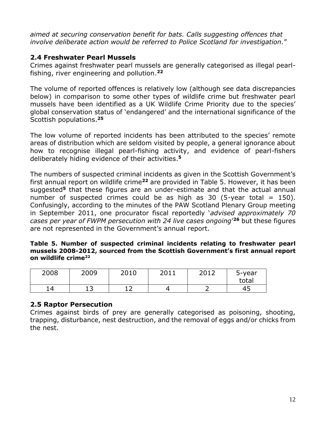*aimed at securing conservation benefit for bats. Calls suggesting offences that involve deliberate action would be referred to Police Scotland for investigation.*"

## **2.4 Freshwater Pearl Mussels**

Crimes against freshwater pearl mussels are generally categorised as illegal pearlfishing, river engineering and pollution. **22**

The volume of reported offences is relatively low (although see data discrepancies below) in comparison to some other types of wildlife crime but freshwater pearl mussels have been identified as a UK Wildlife Crime Priority due to the species' global conservation status of 'endangered' and the international significance of the Scottish populations. **25**

The low volume of reported incidents has been attributed to the species' remote areas of distribution which are seldom visited by people, a general ignorance about how to recognise illegal pearl-fishing activity, and evidence of pearl-fishers deliberately hiding evidence of their activities. **5**

The numbers of suspected criminal incidents as given in the Scottish Government's first annual report on wildlife crime**<sup>22</sup>** are provided in Table 5. However, it has been suggested**<sup>5</sup>** that these figures are an under-estimate and that the actual annual number of suspected crimes could be as high as  $30$  (5-year total = 150). Confusingly, according to the minutes of the PAW Scotland Plenary Group meeting in September 2011, one procurator fiscal reportedly '*advised approximately 70 cases per year of FWPM persecution with 24 live cases ongoing*' **<sup>26</sup>** but these figures are not represented in the Government's annual report.

#### **Table 5. Number of suspected criminal incidents relating to freshwater pearl mussels 2008-2012, sourced from the Scottish Government's first annual report on wildlife crime<sup>22</sup>**

| 2008 | 2009 | 2010 | 7011 | 2012 | 5-year<br>total |
|------|------|------|------|------|-----------------|
| 14   | ∸ ~  | --   |      |      | 45              |

## **2.5 Raptor Persecution**

Crimes against birds of prey are generally categorised as poisoning, shooting, trapping, disturbance, nest destruction, and the removal of eggs and/or chicks from the nest.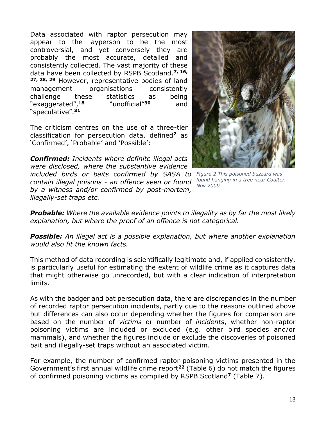Data associated with raptor persecution may appear to the layperson to be the most controversial, and yet conversely they are probably the most accurate, detailed and consistently collected. The vast majority of these data have been collected by RSPB Scotland. **7, 16, 27, 28, 29** However, representative bodies of land management organisations consistently challenge these statistics as being "exaggerated", **<sup>18</sup>** "unofficial"**<sup>30</sup>** and "speculative". **31**

The criticism centres on the use of a three-tier classification for persecution data, defined**<sup>7</sup>** as 'Confirmed', 'Probable' and 'Possible':



*Figure 2 This poisoned buzzard was found hanging in a tree near Coulter, Nov 2009*

*Confirmed: Incidents where definite illegal acts were disclosed, where the substantive evidence included birds or baits confirmed by SASA to contain illegal poisons - an offence seen or found by a witness and/or confirmed by post-mortem, illegally-set traps etc.*

*Probable: Where the available evidence points to illegality as by far the most likely explanation, but where the proof of an offence is not categorical.*

*Possible: An illegal act is a possible explanation, but where another explanation would also fit the known facts.*

This method of data recording is scientifically legitimate and, if applied consistently, is particularly useful for estimating the extent of wildlife crime as it captures data that might otherwise go unrecorded, but with a clear indication of interpretation limits.

As with the badger and bat persecution data, there are discrepancies in the number of recorded raptor persecution incidents, partly due to the reasons outlined above but differences can also occur depending whether the figures for comparison are based on the number of *victims* or number of *incidents*, whether non-raptor poisoning victims are included or excluded (e.g. other bird species and/or mammals), and whether the figures include or exclude the discoveries of poisoned bait and illegally-set traps without an associated victim.

For example, the number of confirmed raptor poisoning victims presented in the Government's first annual wildlife crime report**<sup>22</sup>** (Table 6) do not match the figures of confirmed poisoning victims as compiled by RSPB Scotland**<sup>7</sup>** (Table 7).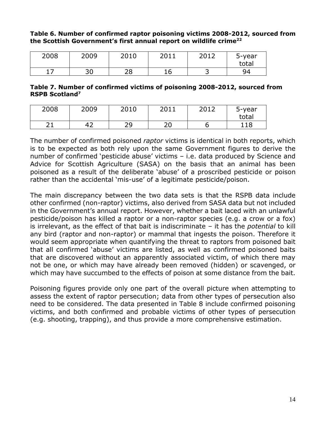#### **Table 6. Number of confirmed raptor poisoning victims 2008-2012, sourced from the Scottish Government's first annual report on wildlife crime<sup>22</sup>**

| 2008 | 2009      | 2010     | 2011 | 2012 | 5-year<br>total |
|------|-----------|----------|------|------|-----------------|
|      | ה ר<br>JU | າດ<br>دے | 16   | ٮ    | ۹4              |

#### **Table 7. Number of confirmed victims of poisoning 2008-2012, sourced from RSPB Scotland<sup>7</sup>**

| 2008       | 2009 | 2010      | 2011<br>ZUIT | 2012<br>∠∪⊥∠ | 5-year |
|------------|------|-----------|--------------|--------------|--------|
|            |      |           |              |              | total  |
| ∍ ⊣<br>— — | 42   | ာ႖<br>ر ے | n n<br>∠∪    |              | 118    |

The number of confirmed poisoned *raptor* victims is identical in both reports, which is to be expected as both rely upon the same Government figures to derive the number of confirmed 'pesticide abuse' victims – i.e. data produced by Science and Advice for Scottish Agriculture (SASA) on the basis that an animal has been poisoned as a result of the deliberate 'abuse' of a proscribed pesticide or poison rather than the accidental 'mis-use' of a legitimate pesticide/poison.

The main discrepancy between the two data sets is that the RSPB data include other confirmed (non-raptor) victims, also derived from SASA data but not included in the Government's annual report. However, whether a bait laced with an unlawful pesticide/poison has killed a raptor or a non-raptor species (e.g. a crow or a fox) is irrelevant, as the effect of that bait is indiscriminate – it has the *potential* to kill any bird (raptor and non-raptor) or mammal that ingests the poison. Therefore it would seem appropriate when quantifying the threat to raptors from poisoned bait that all confirmed 'abuse' victims are listed, as well as confirmed poisoned baits that are discovered without an apparently associated victim, of which there may not be one, or which may have already been removed (hidden) or scavenged, or which may have succumbed to the effects of poison at some distance from the bait.

Poisoning figures provide only one part of the overall picture when attempting to assess the extent of raptor persecution; data from other types of persecution also need to be considered. The data presented in Table 8 include confirmed poisoning victims, and both confirmed and probable victims of other types of persecution (e.g. shooting, trapping), and thus provide a more comprehensive estimation.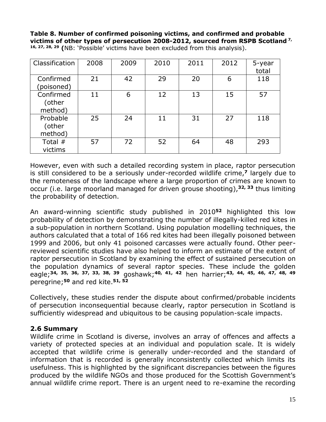**Table 8. Number of confirmed poisoning victims, and confirmed and probable victims of other types of persecution 2008-2012, sourced from RSPB Scotland 7, 16, 27, 28, 29 (**NB: 'Possible' victims have been excluded from this analysis).

| Classification                 | 2008 | 2009 | 2010 | 2011 | 2012 | 5-year<br>total |
|--------------------------------|------|------|------|------|------|-----------------|
| Confirmed<br>(poisoned)        | 21   | 42   | 29   | 20   | 6    | 118             |
| Confirmed<br>(other<br>method) | 11   | 6    | 12   | 13   | 15   | 57              |
| Probable<br>(other<br>method)  | 25   | 24   | 11   | 31   | 27   | 118             |
| Total #<br>victims             | 57   | 72   | 52   | 64   | 48   | 293             |

However, even with such a detailed recording system in place, raptor persecution is still considered to be a seriously under-recorded wildlife crime, **<sup>7</sup>** largely due to the remoteness of the landscape where a large proportion of crimes are known to occur (i.e. large moorland managed for driven grouse shooting),**32, 33** thus limiting the probability of detection.

An award-winning scientific study published in 2010**<sup>52</sup>** highlighted this low probability of detection by demonstrating the number of illegally-killed red kites in a sub-population in northern Scotland. Using population modelling techniques, the authors calculated that a total of 166 red kites had been illegally poisoned between 1999 and 2006, but only 41 poisoned carcasses were actually found. Other peerreviewed scientific studies have also helped to inform an estimate of the extent of raptor persecution in Scotland by examining the effect of sustained persecution on the population dynamics of several raptor species. These include the golden eagle; **34, 35, 36, 37, 33, 38, 39** goshawk; **40, 41, 42** hen harrier; **43, 44, 45, 46, 47, 48, 49** peregrine; **<sup>50</sup>** and red kite. **51, 52**

Collectively, these studies render the dispute about confirmed/probable incidents of persecution inconsequential because clearly, raptor persecution in Scotland is sufficiently widespread and ubiquitous to be causing population-scale impacts.

## **2.6 Summary**

Wildlife crime in Scotland is diverse, involves an array of offences and affects a variety of protected species at an individual and population scale. It is widely accepted that wildlife crime is generally under-recorded and the standard of information that is recorded is generally inconsistently collected which limits its usefulness. This is highlighted by the significant discrepancies between the figures produced by the wildlife NGOs and those produced for the Scottish Government's annual wildlife crime report. There is an urgent need to re-examine the recording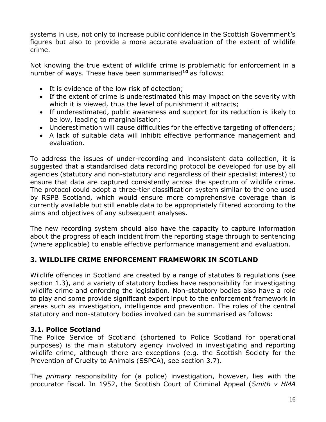systems in use, not only to increase public confidence in the Scottish Government's figures but also to provide a more accurate evaluation of the extent of wildlife crime.

Not knowing the true extent of wildlife crime is problematic for enforcement in a number of ways. These have been summarised**<sup>10</sup>** as follows:

- It is evidence of the low risk of detection;
- If the extent of crime is underestimated this may impact on the severity with which it is viewed, thus the level of punishment it attracts;
- If underestimated, public awareness and support for its reduction is likely to be low, leading to marginalisation;
- Underestimation will cause difficulties for the effective targeting of offenders;
- A lack of suitable data will inhibit effective performance management and evaluation.

To address the issues of under-recording and inconsistent data collection, it is suggested that a standardised data recording protocol be developed for use by all agencies (statutory and non-statutory and regardless of their specialist interest) to ensure that data are captured consistently across the spectrum of wildlife crime. The protocol could adopt a three-tier classification system similar to the one used by RSPB Scotland, which would ensure more comprehensive coverage than is currently available but still enable data to be appropriately filtered according to the aims and objectives of any subsequent analyses.

The new recording system should also have the capacity to capture information about the progress of each incident from the reporting stage through to sentencing (where applicable) to enable effective performance management and evaluation.

# **3. WILDLIFE CRIME ENFORCEMENT FRAMEWORK IN SCOTLAND**

Wildlife offences in Scotland are created by a range of statutes & regulations (see section 1.3), and a variety of statutory bodies have responsibility for investigating wildlife crime and enforcing the legislation. Non-statutory bodies also have a role to play and some provide significant expert input to the enforcement framework in areas such as investigation, intelligence and prevention. The roles of the central statutory and non-statutory bodies involved can be summarised as follows:

## **3.1. Police Scotland**

The Police Service of Scotland (shortened to Police Scotland for operational purposes) is the main statutory agency involved in investigating and reporting wildlife crime, although there are exceptions (e.g. the Scottish Society for the Prevention of Cruelty to Animals (SSPCA), see section 3.7).

The *primary* responsibility for (a police) investigation, however, lies with the procurator fiscal. In 1952, the Scottish Court of Criminal Appeal (*Smith v HMA*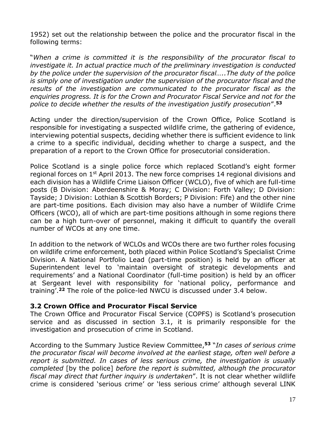1952) set out the relationship between the police and the procurator fiscal in the following terms:

"*When a crime is committed it is the responsibility of the procurator fiscal to investigate it. In actual practice much of the preliminary investigation is conducted by the police under the supervision of the procurator fiscal…..The duty of the police is simply one of investigation under the supervision of the procurator fiscal and the results of the investigation are communicated to the procurator fiscal as the enquiries progress. It is for the Crown and Procurator Fiscal Service and not for the police to decide whether the results of the investigation justify prosecution*". **53**

Acting under the direction/supervision of the Crown Office, Police Scotland is responsible for investigating a suspected wildlife crime, the gathering of evidence, interviewing potential suspects, deciding whether there is sufficient evidence to link a crime to a specific individual, deciding whether to charge a suspect, and the preparation of a report to the Crown Office for prosecutorial consideration.

Police Scotland is a single police force which replaced Scotland's eight former regional forces on 1st April 2013. The new force comprises 14 regional divisions and each division has a Wildlife Crime Liaison Officer (WCLO), five of which are full-time posts (B Division: Aberdeenshire & Moray; C Division: Forth Valley; D Division: Tayside; J Division: Lothian & Scottish Borders; P Division: Fife) and the other nine are part-time positions. Each division may also have a number of Wildlife Crime Officers (WCO), all of which are part-time positions although in some regions there can be a high turn-over of personnel, making it difficult to quantify the overall number of WCOs at any one time.

In addition to the network of WCLOs and WCOs there are two further roles focusing on wildlife crime enforcement, both placed within Police Scotland's Specialist Crime Division. A National Portfolio Lead (part-time position) is held by an officer at Superintendent level to 'maintain oversight of strategic developments and requirements' and a National Coordinator (full-time position) is held by an officer at Sergeant level with responsibility for 'national policy, performance and training'. **<sup>22</sup>** The role of the police-led NWCU is discussed under 3.4 below.

#### **3.2 Crown Office and Procurator Fiscal Service**

The Crown Office and Procurator Fiscal Service (COPFS) is Scotland's prosecution service and as discussed in section 3.1, it is primarily responsible for the investigation and prosecution of crime in Scotland.

According to the Summary Justice Review Committee, **<sup>53</sup>** "*In cases of serious crime the procurator fiscal will become involved at the earliest stage, often well before a report is submitted. In cases of less serious crime, the investigation is usually completed* [by the police] *before the report is submitted, although the procurator fiscal may direct that further inquiry is undertaken*". It is not clear whether wildlife crime is considered 'serious crime' or 'less serious crime' although several LINK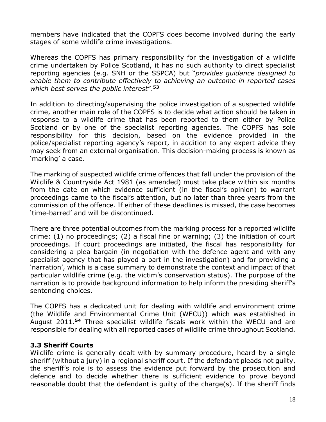members have indicated that the COPFS does become involved during the early stages of some wildlife crime investigations.

Whereas the COPFS has primary responsibility for the investigation of a wildlife crime undertaken by Police Scotland, it has no such authority to direct specialist reporting agencies (e.g. SNH or the SSPCA) but "*provides guidance designed to enable them to contribute effectively to achieving an outcome in reported cases which best serves the public interest*". **53**

In addition to directing/supervising the police investigation of a suspected wildlife crime, another main role of the COPFS is to decide what action should be taken in response to a wildlife crime that has been reported to them either by Police Scotland or by one of the specialist reporting agencies. The COPFS has sole responsibility for this decision, based on the evidence provided in the police/specialist reporting agency's report, in addition to any expert advice they may seek from an external organisation. This decision-making process is known as 'marking' a case.

The marking of suspected wildlife crime offences that fall under the provision of the Wildlife & Countryside Act 1981 (as amended) must take place within six months from the date on which evidence sufficient (in the fiscal's opinion) to warrant proceedings came to the fiscal's attention, but no later than three years from the commission of the offence. If either of these deadlines is missed, the case becomes 'time-barred' and will be discontinued.

There are three potential outcomes from the marking process for a reported wildlife crime: (1) no proceedings; (2) a fiscal fine or warning; (3) the initiation of court proceedings. If court proceedings are initiated, the fiscal has responsibility for considering a plea bargain (in negotiation with the defence agent and with any specialist agency that has played a part in the investigation) and for providing a 'narration', which is a case summary to demonstrate the context and impact of that particular wildlife crime (e.g. the victim's conservation status). The purpose of the narration is to provide background information to help inform the presiding sheriff's sentencing choices.

The COPFS has a dedicated unit for dealing with wildlife and environment crime (the Wildlife and Environmental Crime Unit (WECU)) which was established in August 2011. **<sup>54</sup>** Three specialist wildlife fiscals work within the WECU and are responsible for dealing with all reported cases of wildlife crime throughout Scotland.

#### **3.3 Sheriff Courts**

Wildlife crime is generally dealt with by summary procedure, heard by a single sheriff (without a jury) in a regional sheriff court. If the defendant pleads not guilty, the sheriff's role is to assess the evidence put forward by the prosecution and defence and to decide whether there is sufficient evidence to prove beyond reasonable doubt that the defendant is guilty of the charge(s). If the sheriff finds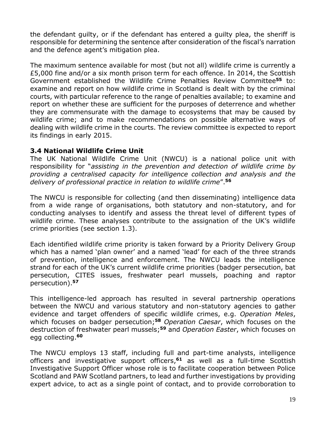the defendant guilty, or if the defendant has entered a guilty plea, the sheriff is responsible for determining the sentence after consideration of the fiscal's narration and the defence agent's mitigation plea.

The maximum sentence available for most (but not all) wildlife crime is currently a £5,000 fine and/or a six month prison term for each offence. In 2014, the Scottish Government established the Wildlife Crime Penalties Review Committee**<sup>55</sup>** to: examine and report on how wildlife crime in Scotland is dealt with by the criminal courts, with particular reference to the range of penalties available; to examine and report on whether these are sufficient for the purposes of deterrence and whether they are commensurate with the damage to ecosystems that may be caused by wildlife crime; and to make recommendations on possible alternative ways of dealing with wildlife crime in the courts. The review committee is expected to report its findings in early 2015.

## **3.4 National Wildlife Crime Unit**

The UK National Wildlife Crime Unit (NWCU) is a national police unit with responsibility for "*assisting in the prevention and detection of wildlife crime by providing a centralised capacity for intelligence collection and analysis and the delivery of professional practice in relation to wildlife crime*". **56**

The NWCU is responsible for collecting (and then disseminating) intelligence data from a wide range of organisations, both statutory and non-statutory, and for conducting analyses to identify and assess the threat level of different types of wildlife crime. These analyses contribute to the assignation of the UK's wildlife crime priorities (see section 1.3).

Each identified wildlife crime priority is taken forward by a Priority Delivery Group which has a named 'plan owner' and a named 'lead' for each of the three strands of prevention, intelligence and enforcement. The NWCU leads the intelligence strand for each of the UK's current wildlife crime priorities (badger persecution, bat persecution, CITES issues, freshwater pearl mussels, poaching and raptor persecution). **57**

This intelligence-led approach has resulted in several partnership operations between the NWCU and various statutory and non-statutory agencies to gather evidence and target offenders of specific wildlife crimes, e.g. *Operation Meles*, which focuses on badger persecution; **<sup>58</sup>** *Operation Caesar*, which focuses on the destruction of freshwater pearl mussels; **<sup>59</sup>** and *Operation Easter*, which focuses on egg collecting. **60**

The NWCU employs 13 staff, including full and part-time analysts, intelligence officers and investigative support officers, **<sup>61</sup>** as well as a full-time Scottish Investigative Support Officer whose role is to facilitate cooperation between Police Scotland and PAW Scotland partners, to lead and further investigations by providing expert advice, to act as a single point of contact, and to provide corroboration to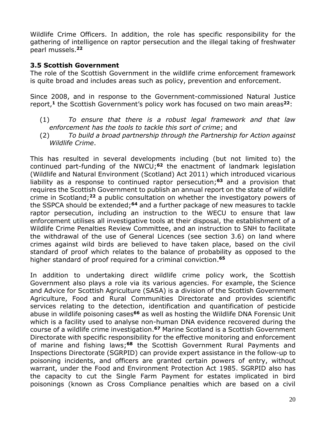Wildlife Crime Officers. In addition, the role has specific responsibility for the gathering of intelligence on raptor persecution and the illegal taking of freshwater pearl mussels. **22**

## **3.5 Scottish Government**

The role of the Scottish Government in the wildlife crime enforcement framework is quite broad and includes areas such as policy, prevention and enforcement.

Since 2008, and in response to the Government-commissioned Natural Justice report, **<sup>1</sup>** the Scottish Government's policy work has focused on two main areas**<sup>22</sup>**:

- (1) *To ensure that there is a robust legal framework and that law enforcement has the tools to tackle this sort of crime*; and
- (2) *To build a broad partnership through the Partnership for Action against Wildlife Crime*.

This has resulted in several developments including (but not limited to) the continued part-funding of the NWCU; **<sup>62</sup>** the enactment of landmark legislation (Wildlife and Natural Environment (Scotland) Act 2011) which introduced vicarious liability as a response to continued raptor persecution; **<sup>63</sup>** and a provision that requires the Scottish Government to publish an annual report on the state of wildlife crime in Scotland; **<sup>22</sup>** a public consultation on whether the investigatory powers of the SSPCA should be extended; **<sup>64</sup>** and a further package of new measures to tackle raptor persecution, including an instruction to the WECU to ensure that law enforcement utilises all investigative tools at their disposal, the establishment of a Wildlife Crime Penalties Review Committee, and an instruction to SNH to facilitate the withdrawal of the use of General Licences (see section 3.6) on land where crimes against wild birds are believed to have taken place, based on the civil standard of proof which relates to the balance of probability as opposed to the higher standard of proof required for a criminal conviction. **65**

In addition to undertaking direct wildlife crime policy work, the Scottish Government also plays a role via its various agencies. For example, the Science and Advice for Scottish Agriculture (SASA) is a division of the Scottish Government Agriculture, Food and Rural Communities Directorate and provides scientific services relating to the detection, identification and quantification of pesticide abuse in wildlife poisoning cases**<sup>66</sup>** as well as hosting the Wildlife DNA Forensic Unit which is a facility used to analyse non-human DNA evidence recovered during the course of a wildlife crime investigation. **<sup>67</sup>** Marine Scotland is a Scottish Government Directorate with specific responsibility for the effective monitoring and enforcement of marine and fishing laws; **<sup>68</sup>** the Scottish Government Rural Payments and Inspections Directorate (SGRPID) can provide expert assistance in the follow-up to poisoning incidents, and officers are granted certain powers of entry, without warrant, under the Food and Environment Protection Act 1985. SGRPID also has the capacity to cut the Single Farm Payment for estates implicated in bird poisonings (known as Cross Compliance penalties which are based on a civil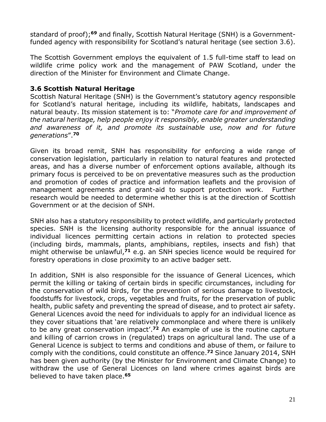standard of proof); **<sup>69</sup>** and finally, Scottish Natural Heritage (SNH) is a Governmentfunded agency with responsibility for Scotland's natural heritage (see section 3.6).

The Scottish Government employs the equivalent of 1.5 full-time staff to lead on wildlife crime policy work and the management of PAW Scotland, under the direction of the Minister for Environment and Climate Change.

## **3.6 Scottish Natural Heritage**

Scottish Natural Heritage (SNH) is the Government's statutory agency responsible for Scotland's natural heritage, including its wildlife, habitats, landscapes and natural beauty. Its mission statement is to: "*Promote care for and improvement of the natural heritage, help people enjoy it responsibly, enable greater understanding and awareness of it, and promote its sustainable use, now and for future generations*". **70**

Given its broad remit, SNH has responsibility for enforcing a wide range of conservation legislation, particularly in relation to natural features and protected areas, and has a diverse number of enforcement options available, although its primary focus is perceived to be on preventative measures such as the production and promotion of codes of practice and information leaflets and the provision of management agreements and grant-aid to support protection work. Further research would be needed to determine whether this is at the direction of Scottish Government or at the decision of SNH.

SNH also has a statutory responsibility to protect wildlife, and particularly protected species. SNH is the licensing authority responsible for the annual issuance of individual licences permitting certain actions in relation to protected species (including birds, mammals, plants, amphibians, reptiles, insects and fish) that might otherwise be unlawful, **<sup>71</sup>** e.g. an SNH species licence would be required for forestry operations in close proximity to an active badger sett.

In addition, SNH is also responsible for the issuance of General Licences, which permit the killing or taking of certain birds in specific circumstances, including for the conservation of wild birds, for the prevention of serious damage to livestock, foodstuffs for livestock, crops, vegetables and fruits, for the preservation of public health, public safety and preventing the spread of disease, and to protect air safety. General Licences avoid the need for individuals to apply for an individual licence as they cover situations that 'are relatively commonplace and where there is unlikely to be any great conservation impact'. **<sup>72</sup>** An example of use is the routine capture and killing of carrion crows in (regulated) traps on agricultural land. The use of a General Licence is subject to terms and conditions and abuse of them, or failure to comply with the conditions, could constitute an offence. **<sup>72</sup>** Since January 2014, SNH has been given authority (by the Minister for Environment and Climate Change) to withdraw the use of General Licences on land where crimes against birds are believed to have taken place. **65**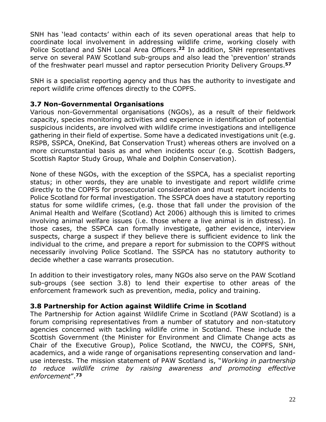SNH has 'lead contacts' within each of its seven operational areas that help to coordinate local involvement in addressing wildlife crime, working closely with Police Scotland and SNH Local Area Officers. **<sup>22</sup>** In addition, SNH representatives serve on several PAW Scotland sub-groups and also lead the 'prevention' strands of the freshwater pearl mussel and raptor persecution Priority Delivery Groups. **57**

SNH is a specialist reporting agency and thus has the authority to investigate and report wildlife crime offences directly to the COPFS.

## **3.7 Non-Governmental Organisations**

Various non-Governmental organisations (NGOs), as a result of their fieldwork capacity, species monitoring activities and experience in identification of potential suspicious incidents, are involved with wildlife crime investigations and intelligence gathering in their field of expertise. Some have a dedicated investigations unit (e.g. RSPB, SSPCA, OneKind, Bat Conservation Trust) whereas others are involved on a more circumstantial basis as and when incidents occur (e.g. Scottish Badgers, Scottish Raptor Study Group, Whale and Dolphin Conservation).

None of these NGOs, with the exception of the SSPCA, has a specialist reporting status; in other words, they are unable to investigate and report wildlife crime directly to the COPFS for prosecutorial consideration and must report incidents to Police Scotland for formal investigation. The SSPCA does have a statutory reporting status for some wildlife crimes, (e.g. those that fall under the provision of the Animal Health and Welfare (Scotland) Act 2006) although this is limited to crimes involving animal welfare issues (i.e. those where a live animal is in distress). In those cases, the SSPCA can formally investigate, gather evidence, interview suspects, charge a suspect if they believe there is sufficient evidence to link the individual to the crime, and prepare a report for submission to the COPFS without necessarily involving Police Scotland. The SSPCA has no statutory authority to decide whether a case warrants prosecution.

In addition to their investigatory roles, many NGOs also serve on the PAW Scotland sub-groups (see section 3.8) to lend their expertise to other areas of the enforcement framework such as prevention, media, policy and training.

#### **3.8 Partnership for Action against Wildlife Crime in Scotland**

The Partnership for Action against Wildlife Crime in Scotland (PAW Scotland) is a forum comprising representatives from a number of statutory and non-statutory agencies concerned with tackling wildlife crime in Scotland. These include the Scottish Government (the Minister for Environment and Climate Change acts as Chair of the Executive Group), Police Scotland, the NWCU, the COPFS, SNH, academics, and a wide range of organisations representing conservation and landuse interests. The mission statement of PAW Scotland is, "*Working in partnership to reduce wildlife crime by raising awareness and promoting effective enforcement*". **73**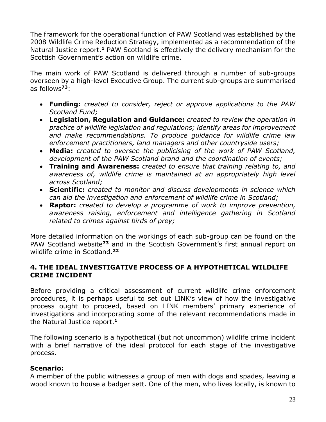The framework for the operational function of PAW Scotland was established by the 2008 Wildlife Crime Reduction Strategy, implemented as a recommendation of the Natural Justice report.<sup>1</sup> PAW Scotland is effectively the delivery mechanism for the Scottish Government's action on wildlife crime.

The main work of PAW Scotland is delivered through a number of sub-groups overseen by a high-level Executive Group. The current sub-groups are summarised as follows**<sup>73</sup>**:

- **Funding:** *created to consider, reject or approve applications to the PAW Scotland Fund;*
- **Legislation, Regulation and Guidance:** *created to review the operation in practice of wildlife legislation and regulations; identify areas for improvement and make recommendations. To produce guidance for wildlife crime law enforcement practitioners, land managers and other countryside users;*
- **Media:** *created to oversee the publicising of the work of PAW Scotland, development of the PAW Scotland brand and the coordination of events;*
- **Training and Awareness:** *created to ensure that training relating to, and awareness of, wildlife crime is maintained at an appropriately high level across Scotland;*
- **Scientific:** *created to monitor and discuss developments in science which can aid the investigation and enforcement of wildlife crime in Scotland;*
- **Raptor:** *created to develop a programme of work to improve prevention, awareness raising, enforcement and intelligence gathering in Scotland related to crimes against birds of prey;*

More detailed information on the workings of each sub-group can be found on the PAW Scotland website**<sup>73</sup>** and in the Scottish Government's first annual report on wildlife crime in Scotland. **22**

## **4. THE IDEAL INVESTIGATIVE PROCESS OF A HYPOTHETICAL WILDLIFE CRIME INCIDENT**

Before providing a critical assessment of current wildlife crime enforcement procedures, it is perhaps useful to set out LINK's view of how the investigative process ought to proceed, based on LINK members' primary experience of investigations and incorporating some of the relevant recommendations made in the Natural Justice report. **1**

The following scenario is a hypothetical (but not uncommon) wildlife crime incident with a brief narrative of the ideal protocol for each stage of the investigative process.

# **Scenario:**

A member of the public witnesses a group of men with dogs and spades, leaving a wood known to house a badger sett. One of the men, who lives locally, is known to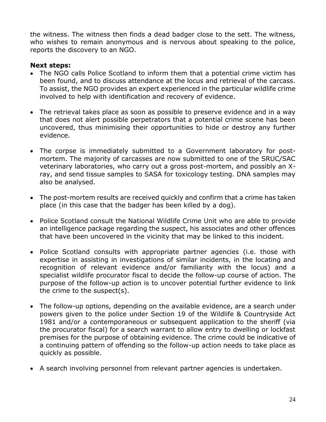the witness. The witness then finds a dead badger close to the sett. The witness, who wishes to remain anonymous and is nervous about speaking to the police, reports the discovery to an NGO.

## **Next steps:**

- The NGO calls Police Scotland to inform them that a potential crime victim has been found, and to discuss attendance at the locus and retrieval of the carcass. To assist, the NGO provides an expert experienced in the particular wildlife crime involved to help with identification and recovery of evidence.
- The retrieval takes place as soon as possible to preserve evidence and in a way that does not alert possible perpetrators that a potential crime scene has been uncovered, thus minimising their opportunities to hide or destroy any further evidence.
- The corpse is immediately submitted to a Government laboratory for postmortem. The majority of carcasses are now submitted to one of the SRUC/SAC veterinary laboratories, who carry out a gross post-mortem, and possibly an Xray, and send tissue samples to SASA for toxicology testing. DNA samples may also be analysed.
- The post-mortem results are received quickly and confirm that a crime has taken place (in this case that the badger has been killed by a dog).
- Police Scotland consult the National Wildlife Crime Unit who are able to provide an intelligence package regarding the suspect, his associates and other offences that have been uncovered in the vicinity that may be linked to this incident.
- Police Scotland consults with appropriate partner agencies (i.e. those with expertise in assisting in investigations of similar incidents, in the locating and recognition of relevant evidence and/or familiarity with the locus) and a specialist wildlife procurator fiscal to decide the follow-up course of action. The purpose of the follow-up action is to uncover potential further evidence to link the crime to the suspect(s).
- The follow-up options, depending on the available evidence, are a search under powers given to the police under Section 19 of the Wildlife & Countryside Act 1981 and/or a contemporaneous or subsequent application to the sheriff (via the procurator fiscal) for a search warrant to allow entry to dwelling or lockfast premises for the purpose of obtaining evidence. The crime could be indicative of a continuing pattern of offending so the follow-up action needs to take place as quickly as possible.
- A search involving personnel from relevant partner agencies is undertaken.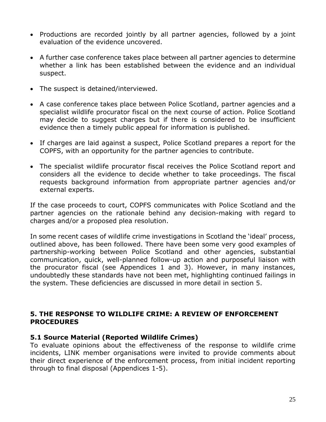- Productions are recorded jointly by all partner agencies, followed by a joint evaluation of the evidence uncovered.
- A further case conference takes place between all partner agencies to determine whether a link has been established between the evidence and an individual suspect.
- The suspect is detained/interviewed.
- A case conference takes place between Police Scotland, partner agencies and a specialist wildlife procurator fiscal on the next course of action. Police Scotland may decide to suggest charges but if there is considered to be insufficient evidence then a timely public appeal for information is published.
- If charges are laid against a suspect, Police Scotland prepares a report for the COPFS, with an opportunity for the partner agencies to contribute.
- The specialist wildlife procurator fiscal receives the Police Scotland report and considers all the evidence to decide whether to take proceedings. The fiscal requests background information from appropriate partner agencies and/or external experts.

If the case proceeds to court, COPFS communicates with Police Scotland and the partner agencies on the rationale behind any decision-making with regard to charges and/or a proposed plea resolution.

In some recent cases of wildlife crime investigations in Scotland the 'ideal' process, outlined above, has been followed. There have been some very good examples of partnership-working between Police Scotland and other agencies, substantial communication, quick, well-planned follow-up action and purposeful liaison with the procurator fiscal (see Appendices 1 and 3). However, in many instances, undoubtedly these standards have not been met, highlighting continued failings in the system. These deficiencies are discussed in more detail in section 5.

#### **5. THE RESPONSE TO WILDLIFE CRIME: A REVIEW OF ENFORCEMENT PROCEDURES**

#### **5.1 Source Material (Reported Wildlife Crimes)**

To evaluate opinions about the effectiveness of the response to wildlife crime incidents, LINK member organisations were invited to provide comments about their direct experience of the enforcement process, from initial incident reporting through to final disposal (Appendices 1-5).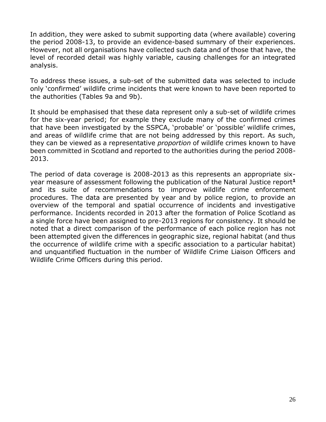In addition, they were asked to submit supporting data (where available) covering the period 2008-13, to provide an evidence-based summary of their experiences. However, not all organisations have collected such data and of those that have, the level of recorded detail was highly variable, causing challenges for an integrated analysis.

To address these issues, a sub-set of the submitted data was selected to include only 'confirmed' wildlife crime incidents that were known to have been reported to the authorities (Tables 9a and 9b).

It should be emphasised that these data represent only a sub-set of wildlife crimes for the six-year period; for example they exclude many of the confirmed crimes that have been investigated by the SSPCA, 'probable' or 'possible' wildlife crimes, and areas of wildlife crime that are not being addressed by this report. As such, they can be viewed as a representative *proportion* of wildlife crimes known to have been committed in Scotland and reported to the authorities during the period 2008- 2013.

The period of data coverage is 2008-2013 as this represents an appropriate sixyear measure of assessment following the publication of the Natural Justice report**<sup>1</sup>** and its suite of recommendations to improve wildlife crime enforcement procedures. The data are presented by year and by police region, to provide an overview of the temporal and spatial occurrence of incidents and investigative performance. Incidents recorded in 2013 after the formation of Police Scotland as a single force have been assigned to pre-2013 regions for consistency. It should be noted that a direct comparison of the performance of each police region has not been attempted given the differences in geographic size, regional habitat (and thus the occurrence of wildlife crime with a specific association to a particular habitat) and unquantified fluctuation in the number of Wildlife Crime Liaison Officers and Wildlife Crime Officers during this period.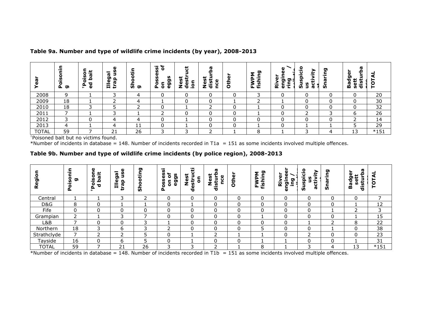| ច្ច          | ⊆<br>$\overline{\phantom{0}}$<br>c<br>о<br>n<br>$\overline{\phantom{0}}$<br>$\mathbf{S}$<br>ರಾ | c<br>سد<br><u>iso</u><br>jed<br>о<br>४<br>$\mathbf{r}$ | ω<br>-<br>æ<br><b>Tileg</b><br>O<br><b>IQ</b><br>ᄒ | 造<br>ັທ<br>ಠಾ | ቴ<br>់ត<br>n,<br>ù,<br>ה<br>ה<br>о<br>c<br>ō<br>Ã.<br>ω | پ<br>≖<br>ဖိ<br><b>in</b><br>$\epsilon$<br>Ü<br>Ō<br>Z.<br>.≚ | Ň.<br>سد<br>ω<br>ັທ<br>$\ddot{\phantom{a}}$<br>z<br>$\epsilon$ | ω<br>£<br>Ò | ה<br>c<br>O<br><b>=</b><br>ើ<br>ព<br>Ĺ. | ω<br>Φ<br><b>შ</b><br>ை ∍<br>ā<br>►<br>ż<br>Έ | o<br>⊽ّ<br>$\overline{\phantom{0}}$<br><u>ရ</u><br>÷<br><u>ဖ</u><br>ຜ້<br>v<br>ത | ರಾ<br>厄<br><b>S</b> | w<br>≏<br>Φ<br>ה<br>ъ<br><u>n</u><br>seti<br>Bā<br>亳 | 0<br>⊢ |
|--------------|------------------------------------------------------------------------------------------------|--------------------------------------------------------|----------------------------------------------------|---------------|---------------------------------------------------------|---------------------------------------------------------------|----------------------------------------------------------------|-------------|-----------------------------------------|-----------------------------------------------|----------------------------------------------------------------------------------|---------------------|------------------------------------------------------|--------|
| 2008         | 9                                                                                              |                                                        |                                                    | 4             |                                                         | υ                                                             | 0                                                              | 0           | 3                                       | C                                             |                                                                                  |                     |                                                      | 20     |
| 2009         | 18                                                                                             |                                                        |                                                    | 4             |                                                         | 0                                                             | 0                                                              |             |                                         |                                               | 0                                                                                |                     | ◠<br>υ                                               | 30     |
| 2010         | 18                                                                                             | っ                                                      |                                                    | ∽             | 0                                                       |                                                               | $\overline{\phantom{0}}$                                       | 0           |                                         | 0                                             | 0                                                                                | 0                   | r                                                    | 32     |
| 2011         |                                                                                                |                                                        | ┑                                                  |               | ∽                                                       | 0                                                             | 0                                                              | 0           |                                         | 0                                             | ∽<br>৴                                                                           | ∍                   | 6                                                    | 26     |
| 2012         | 3                                                                                              |                                                        | 4                                                  | 4             |                                                         |                                                               | 0                                                              | 0           |                                         | ∩                                             | r                                                                                |                     |                                                      | 14     |
| 2013         | 4                                                                                              |                                                        | 4                                                  | 11            | ∩                                                       |                                                               | 0                                                              | 0           |                                         | 0                                             |                                                                                  |                     |                                                      | 29     |
| <b>TOTAL</b> | 59                                                                                             |                                                        | 21                                                 | 26            | っ                                                       | っ                                                             | <sup>-</sup>                                                   |             | 8                                       |                                               | っ                                                                                |                     | 13                                                   | $*151$ |

#### **Table 9a. Number and type of wildlife crime incidents (by year), 2008-2013**

†Poisoned bait but no victims found.

\*Number of incidents in database = 148. Number of incidents recorded in T1a = 151 as some incidents involved multiple offences.

#### **Table 9b. Number and type of wildlife crime incidents (by police region), 2008-2013**

| о<br>ຫ<br>$\alpha$ | c<br>ၷ<br>ה<br>$\overline{\phantom{a}}$<br>ဥ | O<br>پ<br><br>o<br><b>r</b><br>ء<br>$\circ$<br>ъ | U)<br>Œ<br>σ<br>ω<br>൦<br>$\overline{\phantom{a}}$<br><b>IQ</b><br>Ħ<br>r.<br>سد | ם<br><u>ы.</u><br>−<br>o<br>ັທ | $\overline{\phantom{a}}$<br><b>S</b><br><b>State</b><br>ပ္ၿ<br>9S<br>ō<br>ဖွ<br>စ္စ<br>۵<br>ö<br>௳ | 177<br>ū<br>5<br>ق<br>Z<br>₽<br><b>in</b><br>Φ<br>ъ | sturl<br>ω<br><b>in</b><br>ق<br>Z<br>u<br>も | Other | ဥ<br>മ<br>Ē<br>-<br>fish<br>щ. | ջ<br>$\omega$<br>ה<br>2<br>$=$<br>ż<br>פַ<br>۔ :<br>ω | o<br>⋩<br>$\overline{\phantom{0}}$<br>υ<br>. .<br>۵<br>ŧ<br>U)<br><b>ID</b><br><b>S</b> | ה<br><b>S</b> | π<br>ω<br>ּוּס<br>Ξ<br>Ō.<br>ъ<br>ত্য<br>œ<br>ഇ<br>등 | o      |
|--------------------|----------------------------------------------|--------------------------------------------------|----------------------------------------------------------------------------------|--------------------------------|----------------------------------------------------------------------------------------------------|-----------------------------------------------------|---------------------------------------------|-------|--------------------------------|-------------------------------------------------------|-----------------------------------------------------------------------------------------|---------------|------------------------------------------------------|--------|
| Central            |                                              |                                                  | 3                                                                                | ∽                              | $\mathbf 0$                                                                                        | $\Omega$                                            | 0                                           | 0     | 0                              |                                                       | 0                                                                                       | 0             | υ                                                    |        |
| D&G                | 8                                            | $\Omega$                                         |                                                                                  |                                | 0                                                                                                  |                                                     | 0                                           | 0     | 0                              | r                                                     | 0                                                                                       | 0             |                                                      | 12     |
| Fife               | 0                                            | $\mathsf{C}$                                     | 0                                                                                | $\mathbf{0}$                   | $\mathbf{0}$                                                                                       |                                                     | 0                                           | 0     | 0                              |                                                       | $\mathbf 0$                                                                             |               | ∽                                                    | 3      |
| Grampian           | ∍                                            |                                                  | 3                                                                                | -                              | $\Omega$                                                                                           | $\Omega$                                            | 0                                           | 0     |                                |                                                       | 0                                                                                       | 0             |                                                      | 15     |
| L&B                | ⇁                                            |                                                  | ი                                                                                | 3                              |                                                                                                    | C                                                   | 0                                           | 0     | 0                              |                                                       |                                                                                         | ┑             | 8                                                    | 22     |
| Northern           | 18                                           | ∍                                                | 6                                                                                | 3                              | ┑                                                                                                  | C                                                   | 0                                           | 0     |                                |                                                       | 0                                                                                       |               | ⌒<br>υ                                               | 38     |
| Strathclyde        | ⇁                                            |                                                  |                                                                                  | -                              |                                                                                                    |                                                     | ┑                                           |       |                                |                                                       | n,                                                                                      | 0             |                                                      | 23     |
| Tayside            | 16                                           | $\Omega$                                         | b                                                                                |                                | $\Omega$                                                                                           |                                                     | 0                                           | 0     |                                |                                                       | 0                                                                                       | 0             |                                                      | 31     |
| <b>TOTAL</b>       | 59                                           |                                                  | 21                                                                               | 26                             | ∍                                                                                                  | ີ                                                   | h                                           |       | 8                              |                                                       | 3                                                                                       | 4             | 13                                                   | $*151$ |

\*Number of incidents in database = 148. Number of incidents recorded in T1b = 151 as some incidents involved multiple offences.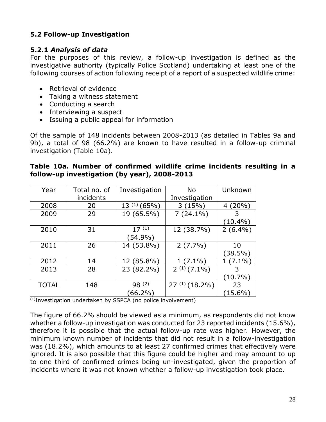# **5.2 Follow-up Investigation**

## **5.2.1** *Analysis of data*

For the purposes of this review, a follow-up investigation is defined as the investigative authority (typically Police Scotland) undertaking at least one of the following courses of action following receipt of a report of a suspected wildlife crime:

- Retrieval of evidence
- Taking a witness statement
- Conducting a search
- Interviewing a suspect
- Issuing a public appeal for information

Of the sample of 148 incidents between 2008-2013 (as detailed in Tables 9a and 9b), a total of 98 (66.2%) are known to have resulted in a follow-up criminal investigation (Table 10a).

| Year         | Total no. of | Investigation    | <b>No</b>          | Unknown        |
|--------------|--------------|------------------|--------------------|----------------|
|              | incidents    |                  | Investigation      |                |
| 2008         | 20           | $13^{(1)}(65\%)$ | 3(15%)             | $(20\%)$<br>4  |
| 2009         | 29           | 19 (65.5%)       | $7(24.1\%)$        |                |
|              |              |                  |                    | $(10.4\%)$     |
| 2010         | 31           | $17^{(1)}$       | 12 (38.7%)         | $2(6.4\%)$     |
|              |              | (54.9%)          |                    |                |
| 2011         | 26           | 14 (53.8%)       | $2(7.7\%)$         | 10             |
|              |              |                  |                    | $(38.5\%)$     |
| 2012         | 14           | 12 (85.8%)       | $(7.1\%)$          | $(7.1\%)$<br>1 |
| 2013         | 28           | 23 (82.2%)       | $2^{(1)}(7.1\%)$   | 3              |
|              |              |                  |                    | $(10.7\%)$     |
| <b>TOTAL</b> | 148          | $98^{(2)}$       | $27^{(1)}(18.2\%)$ | 23             |
|              |              | $(66.2\%)$       |                    | $(15.6\%)$     |

## **Table 10a. Number of confirmed wildlife crime incidents resulting in a follow-up investigation (by year), 2008-2013**

 $\overline{^{(1)}}$ Investigation undertaken by SSPCA (no police involvement)

The figure of 66.2% should be viewed as a minimum, as respondents did not know whether a follow-up investigation was conducted for 23 reported incidents (15.6%), therefore it is possible that the actual follow-up rate was higher. However, the minimum known number of incidents that did not result in a follow-investigation was (18.2%), which amounts to at least 27 confirmed crimes that effectively were ignored. It is also possible that this figure could be higher and may amount to up to one third of confirmed crimes being un-investigated, given the proportion of incidents where it was not known whether a follow-up investigation took place.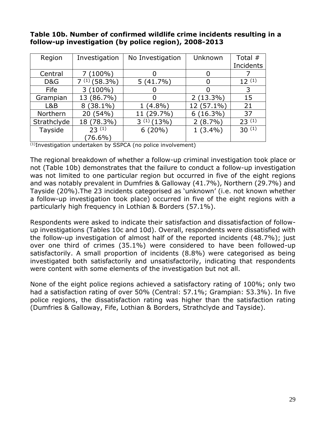| Region      | Investigation     | No Investigation | Unknown     | Total $#$  |
|-------------|-------------------|------------------|-------------|------------|
|             |                   |                  |             | Incidents  |
| Central     | $(100\%)$         |                  | O           |            |
| D&G         | $7^{(1)}(58.3\%)$ | $5(41.7\%)$      |             | 12(1)      |
| Fife        | $3(100\%)$        |                  |             | 3          |
| Grampian    | 13 (86.7%)        |                  | $2(13.3\%)$ | 15         |
| L&B         | $8(38.1\%)$       | $1(4.8\%)$       | 12 (57.1%)  | 21         |
| Northern    | 20 (54%)          | 11 (29.7%)       | $6(16.3\%)$ | 37         |
| Strathclyde | 18 (78.3%)        | $3^{(1)}(13\%)$  | $2(8.7\%)$  | $23^{(1)}$ |
| Tayside     | 23(1)             | 6(20%)           | $1(3.4\%)$  | $30^{(1)}$ |
|             | $(76.6\%)$        |                  |             |            |

## **Table 10b. Number of confirmed wildlife crime incidents resulting in a follow-up investigation (by police region), 2008-2013**

 $\overline{^{(1)}}$ Investigation undertaken by SSPCA (no police involvement)

The regional breakdown of whether a follow-up criminal investigation took place or not (Table 10b) demonstrates that the failure to conduct a follow-up investigation was not limited to one particular region but occurred in five of the eight regions and was notably prevalent in Dumfries & Galloway (41.7%), Northern (29.7%) and Tayside (20%).The 23 incidents categorised as 'unknown' (i.e. not known whether a follow-up investigation took place) occurred in five of the eight regions with a particularly high frequency in Lothian & Borders (57.1%).

Respondents were asked to indicate their satisfaction and dissatisfaction of followup investigations (Tables 10c and 10d). Overall, respondents were dissatisfied with the follow-up investigation of almost half of the reported incidents (48.7%); just over one third of crimes (35.1%) were considered to have been followed-up satisfactorily. A small proportion of incidents (8.8%) were categorised as being investigated both satisfactorily and unsatisfactorily, indicating that respondents were content with some elements of the investigation but not all.

None of the eight police regions achieved a satisfactory rating of 100%; only two had a satisfaction rating of over 50% (Central: 57.1%; Grampian: 53.3%). In five police regions, the dissatisfaction rating was higher than the satisfaction rating (Dumfries & Galloway, Fife, Lothian & Borders, Strathclyde and Tayside).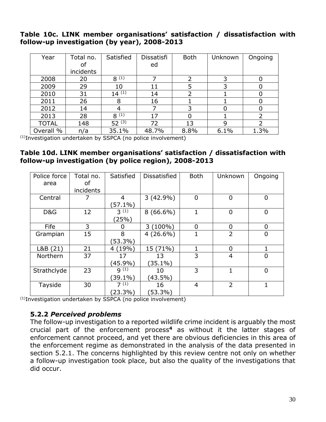## **Table 10c. LINK member organisations' satisfaction / dissatisfaction with follow-up investigation (by year), 2008-2013**

| Year         | Total no. | Satisfied  | Dissatisfi | <b>Both</b> | Unknown | Ongoing        |
|--------------|-----------|------------|------------|-------------|---------|----------------|
|              | of        |            | ed         |             |         |                |
|              | incidents |            |            |             |         |                |
| 2008         | 20        | $8^{(1)}$  |            | 2           |         | 0              |
| 2009         | 29        | 10         | 11         | 5           |         |                |
| 2010         | 31        | $14^{(1)}$ | 14         | 2           |         | 0              |
| 2011         | 26        | 8          | 16         |             |         | 0              |
| 2012         | 14        | 4          |            | 3           |         | 0              |
| 2013         | 28        | $8^{(1)}$  | 17         | 0           |         | $\overline{2}$ |
| <b>TOTAL</b> | 148       | $52^{(3)}$ | 72         | 13          | q       |                |
| Overall %    | n/a       | 35.1%      | 48.7%      | 8.8%        | 6.1%    | 1.3%           |

(1)Investigation undertaken by SSPCA (no police involvement)

### **Table 10d. LINK member organisations' satisfaction / dissatisfaction with follow-up investigation (by police region), 2008-2013**

| Police force | Total no. | Satisfied         | <b>Dissatisfied</b> | <b>Both</b>    | Unknown        | Ongoing        |
|--------------|-----------|-------------------|---------------------|----------------|----------------|----------------|
| area         | οf        |                   |                     |                |                |                |
|              | incidents |                   |                     |                |                |                |
| Central      |           | 4                 | $3(42.9\%)$         | $\overline{0}$ | 0              | 0              |
|              |           | $(57.1\%)$        |                     |                |                |                |
| D&G          | 12        | $3^{(1)}$         | $8(66.6\%)$         |                | 0              | 0              |
|              |           | (25%)             |                     |                |                |                |
| Fife         | 3         | O                 | $3(100\%)$          | 0              | 0              | 0              |
| Grampian     | 15        | 8                 | $4(26.6\%)$         | 1              | $\overline{2}$ | 0              |
|              |           | $(53.3\%)$        |                     |                |                |                |
| L&B(21)      | 21        | 4(19%)            | 15 (71%)            | 1              | 0              | 1              |
| Northern     | 37        | 17                | 13                  | 3              | $\overline{4}$ | 0              |
|              |           | $(45.9\%)$        | $(35.1\%)$          |                |                |                |
| Strathclyde  | 23        | 9(1)              | 10                  | 3              |                | $\overline{0}$ |
|              |           | $(39.1\%)$        | $(43.5\%)$          |                |                |                |
| Tayside      | 30        | $7(\overline{1})$ | 16                  | $\overline{4}$ | $\overline{2}$ | 1              |
|              |           | $(23.3\%)$        | $(53.3\%)$          |                |                |                |

(1)Investigation undertaken by SSPCA (no police involvement)

# **5.2.2** *Perceived problems*

The follow-up investigation to a reported wildlife crime incident is arguably the most crucial part of the enforcement process**<sup>4</sup>** as without it the latter stages of enforcement cannot proceed, and yet there are obvious deficiencies in this area of the enforcement regime as demonstrated in the analysis of the data presented in section 5.2.1. The concerns highlighted by this review centre not only on whether a follow-up investigation took place, but also the quality of the investigations that did occur.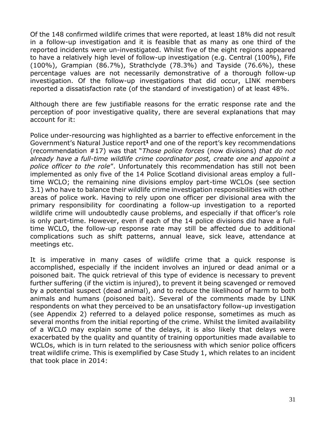Of the 148 confirmed wildlife crimes that were reported, at least 18% did not result in a follow-up investigation and it is feasible that as many as one third of the reported incidents were un-investigated. Whilst five of the eight regions appeared to have a relatively high level of follow-up investigation (e.g. Central (100%), Fife (100%), Grampian (86.7%), Strathclyde (78.3%) and Tayside (76.6%), these percentage values are not necessarily demonstrative of a thorough follow-up investigation. Of the follow-up investigations that did occur, LINK members reported a dissatisfaction rate (of the standard of investigation) of at least 48%.

Although there are few justifiable reasons for the erratic response rate and the perception of poor investigative quality, there are several explanations that may account for it:

Police under-resourcing was highlighted as a barrier to effective enforcement in the Government's Natural Justice report**<sup>1</sup>** and one of the report's key recommendations (recommendation #17) was that "*Those police forces* (now divisions) *that do not already have a full-time wildlife crime coordinator post, create one and appoint a police officer to the role*". Unfortunately this recommendation has still not been implemented as only five of the 14 Police Scotland divisional areas employ a fulltime WCLO; the remaining nine divisions employ part-time WCLOs (see section 3.1) who have to balance their wildlife crime investigation responsibilities with other areas of police work. Having to rely upon one officer per divisional area with the primary responsibility for coordinating a follow-up investigation to a reported wildlife crime will undoubtedly cause problems, and especially if that officer's role is only part-time. However, even if each of the 14 police divisions did have a fulltime WCLO, the follow-up response rate may still be affected due to additional complications such as shift patterns, annual leave, sick leave, attendance at meetings etc.

It is imperative in many cases of wildlife crime that a quick response is accomplished, especially if the incident involves an injured or dead animal or a poisoned bait. The quick retrieval of this type of evidence is necessary to prevent further suffering (if the victim is injured), to prevent it being scavenged or removed by a potential suspect (dead animal), and to reduce the likelihood of harm to both animals and humans (poisoned bait). Several of the comments made by LINK respondents on what they perceived to be an unsatisfactory follow-up investigation (see Appendix 2) referred to a delayed police response, sometimes as much as several months from the initial reporting of the crime. Whilst the limited availability of a WCLO may explain some of the delays, it is also likely that delays were exacerbated by the quality and quantity of training opportunities made available to WCLOs, which is in turn related to the seriousness with which senior police officers treat wildlife crime. This is exemplified by Case Study 1, which relates to an incident that took place in 2014: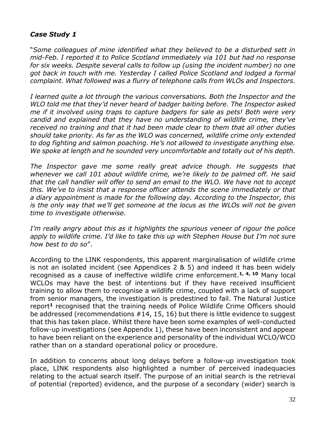## *Case Study 1*

"*Some colleagues of mine identified what they believed to be a disturbed sett in mid-Feb. I reported it to Police Scotland immediately via 101 but had no response for six weeks. Despite several calls to follow up (using the incident number) no one got back in touch with me. Yesterday I called Police Scotland and lodged a formal complaint. What followed was a flurry of telephone calls from WLOs and Inspectors.*

*I learned quite a lot through the various conversations. Both the Inspector and the WLO told me that they'd never heard of badger baiting before. The Inspector asked me if it involved using traps to capture badgers for sale as pets! Both were very candid and explained that they have no understanding of wildlife crime, they've received no training and that it had been made clear to them that all other duties should take priority. As far as the WLO was concerned, wildlife crime only extended to dog fighting and salmon poaching. He's not allowed to investigate anything else. We spoke at length and he sounded very uncomfortable and totally out of his depth.*

The Inspector gave me some really great advice though. He suggests that *whenever we call 101 about wildlife crime, we're likely to be palmed off. He said that the call handler will offer to send an email to the WLO. We have not to accept this. We've to insist that a response officer attends the scene immediately or that a diary appointment is made for the following day. According to the Inspector, this is the only way that we'll get someone at the locus as the WLOs will not be given time to investigate otherwise.*

*I'm really angry about this as it highlights the spurious veneer of rigour the police apply to wildlife crime. I'd like to take this up with Stephen House but I'm not sure how best to do so*".

According to the LINK respondents, this apparent marginalisation of wildlife crime is not an isolated incident (see Appendices 2 & 5) and indeed it has been widely recognised as a cause of ineffective wildlife crime enforcement. **1, 4, <sup>10</sup>** Many local WCLOs may have the best of intentions but if they have received insufficient training to allow them to recognise a wildlife crime, coupled with a lack of support from senior managers, the investigation is predestined to fail. The Natural Justice report**<sup>1</sup>** recognised that the training needs of Police Wildlife Crime Officers should be addressed (recommendations #14, 15, 16) but there is little evidence to suggest that this has taken place. Whilst there have been some examples of well-conducted follow-up investigations (see Appendix 1), these have been inconsistent and appear to have been reliant on the experience and personality of the individual WCLO/WCO rather than on a standard operational policy or procedure.

In addition to concerns about long delays before a follow-up investigation took place, LINK respondents also highlighted a number of perceived inadequacies relating to the actual search itself. The purpose of an initial search is the retrieval of potential (reported) evidence, and the purpose of a secondary (wider) search is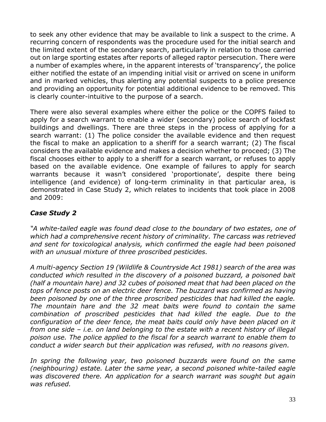to seek any other evidence that may be available to link a suspect to the crime. A recurring concern of respondents was the procedure used for the initial search and the limited extent of the secondary search, particularly in relation to those carried out on large sporting estates after reports of alleged raptor persecution. There were a number of examples where, in the apparent interests of 'transparency', the police either notified the estate of an impending initial visit or arrived on scene in uniform and in marked vehicles, thus alerting any potential suspects to a police presence and providing an opportunity for potential additional evidence to be removed. This is clearly counter-intuitive to the purpose of a search.

There were also several examples where either the police or the COPFS failed to apply for a search warrant to enable a wider (secondary) police search of lockfast buildings and dwellings. There are three steps in the process of applying for a search warrant: (1) The police consider the available evidence and then request the fiscal to make an application to a sheriff for a search warrant; (2) The fiscal considers the available evidence and makes a decision whether to proceed; (3) The fiscal chooses either to apply to a sheriff for a search warrant, or refuses to apply based on the available evidence. One example of failures to apply for search warrants because it wasn't considered 'proportionate', despite there being intelligence (and evidence) of long-term criminality in that particular area, is demonstrated in Case Study 2, which relates to incidents that took place in 2008 and 2009:

# *Case Study 2*

*"A white-tailed eagle was found dead close to the boundary of two estates, one of which had a comprehensive recent history of criminality. The carcass was retrieved and sent for toxicological analysis, which confirmed the eagle had been poisoned with an unusual mixture of three proscribed pesticides.* 

*A multi-agency Section 19 (Wildlife & Countryside Act 1981) search of the area was conducted which resulted in the discovery of a poisoned buzzard, a poisoned bait (half a mountain hare) and 32 cubes of poisoned meat that had been placed on the tops of fence posts on an electric deer fence. The buzzard was confirmed as having been poisoned by one of the three proscribed pesticides that had killed the eagle. The mountain hare and the 32 meat baits were found to contain the same combination of proscribed pesticides that had killed the eagle. Due to the configuration of the deer fence, the meat baits could only have been placed on it from one side – i.e. on land belonging to the estate with a recent history of illegal poison use. The police applied to the fiscal for a search warrant to enable them to conduct a wider search but their application was refused, with no reasons given.* 

In spring the following year, two poisoned buzzards were found on the same *(neighbouring) estate. Later the same year, a second poisoned white-tailed eagle was discovered there. An application for a search warrant was sought but again was refused.*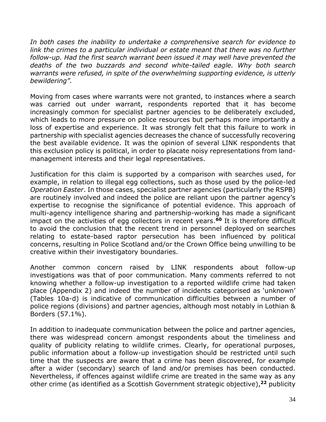*In both cases the inability to undertake a comprehensive search for evidence to link the crimes to a particular individual or estate meant that there was no further follow-up. Had the first search warrant been issued it may well have prevented the deaths of the two buzzards and second white-tailed eagle. Why both search warrants were refused, in spite of the overwhelming supporting evidence, is utterly bewildering".*

Moving from cases where warrants were not granted, to instances where a search was carried out under warrant, respondents reported that it has become increasingly common for specialist partner agencies to be deliberately excluded, which leads to more pressure on police resources but perhaps more importantly a loss of expertise and experience. It was strongly felt that this failure to work in partnership with specialist agencies decreases the chance of successfully recovering the best available evidence. It was the opinion of several LINK respondents that this exclusion policy is political, in order to placate noisy representations from landmanagement interests and their legal representatives.

Justification for this claim is supported by a comparison with searches used, for example, in relation to illegal egg collections, such as those used by the police-led *Operation Easter*. In those cases, specialist partner agencies (particularly the RSPB) are routinely involved and indeed the police are reliant upon the partner agency's expertise to recognise the significance of potential evidence. This approach of multi-agency intelligence sharing and partnership-working has made a significant impact on the activities of egg collectors in recent years. **<sup>60</sup>** It is therefore difficult to avoid the conclusion that the recent trend in personnel deployed on searches relating to estate-based raptor persecution has been influenced by political concerns, resulting in Police Scotland and/or the Crown Office being unwilling to be creative within their investigatory boundaries.

Another common concern raised by LINK respondents about follow-up investigations was that of poor communication. Many comments referred to not knowing whether a follow-up investigation to a reported wildlife crime had taken place (Appendix 2) and indeed the number of incidents categorised as 'unknown' (Tables 10a-d) is indicative of communication difficulties between a number of police regions (divisions) and partner agencies, although most notably in Lothian & Borders (57.1%).

In addition to inadequate communication between the police and partner agencies, there was widespread concern amongst respondents about the timeliness and quality of publicity relating to wildlife crimes. Clearly, for operational purposes, public information about a follow-up investigation should be restricted until such time that the suspects are aware that a crime has been discovered, for example after a wider (secondary) search of land and/or premises has been conducted. Nevertheless, if offences against wildlife crime are treated in the same way as any other crime (as identified as a Scottish Government strategic objective), **<sup>22</sup>** publicity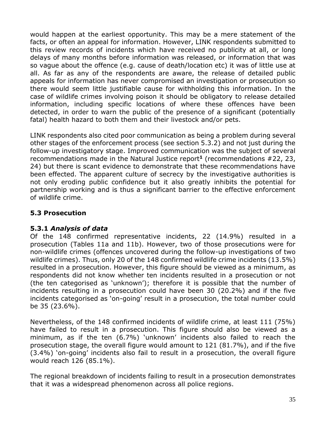would happen at the earliest opportunity. This may be a mere statement of the facts, or often an appeal for information. However, LINK respondents submitted to this review records of incidents which have received no publicity at all, or long delays of many months before information was released, or information that was so vague about the offence (e.g. cause of death/location etc) it was of little use at all. As far as any of the respondents are aware, the release of detailed public appeals for information has never compromised an investigation or prosecution so there would seem little justifiable cause for withholding this information. In the case of wildlife crimes involving poison it should be obligatory to release detailed information, including specific locations of where these offences have been detected, in order to warn the public of the presence of a significant (potentially fatal) health hazard to both them and their livestock and/or pets.

LINK respondents also cited poor communication as being a problem during several other stages of the enforcement process (see section 5.3.2) and not just during the follow-up investigatory stage. Improved communication was the subject of several recommendations made in the Natural Justice report**<sup>1</sup>** (recommendations #22, 23, 24) but there is scant evidence to demonstrate that these recommendations have been effected. The apparent culture of secrecy by the investigative authorities is not only eroding public confidence but it also greatly inhibits the potential for partnership working and is thus a significant barrier to the effective enforcement of wildlife crime.

# **5.3 Prosecution**

## **5.3.1** *Analysis of data*

Of the 148 confirmed representative incidents, 22 (14.9%) resulted in a prosecution (Tables 11a and 11b). However, two of those prosecutions were for non-wildlife crimes (offences uncovered during the follow-up investigations of two wildlife crimes). Thus, only 20 of the 148 confirmed wildlife crime incidents (13.5%) resulted in a prosecution. However, this figure should be viewed as a minimum, as respondents did not know whether ten incidents resulted in a prosecution or not (the ten categorised as 'unknown'); therefore it is possible that the number of incidents resulting in a prosecution could have been 30 (20.2%) and if the five incidents categorised as 'on-going' result in a prosecution, the total number could be 35 (23.6%).

Nevertheless, of the 148 confirmed incidents of wildlife crime, at least 111 (75%) have failed to result in a prosecution. This figure should also be viewed as a minimum, as if the ten (6.7%) 'unknown' incidents also failed to reach the prosecution stage, the overall figure would amount to 121 (81.7%), and if the five (3.4%) 'on-going' incidents also fail to result in a prosecution, the overall figure would reach 126 (85.1%).

The regional breakdown of incidents failing to result in a prosecution demonstrates that it was a widespread phenomenon across all police regions.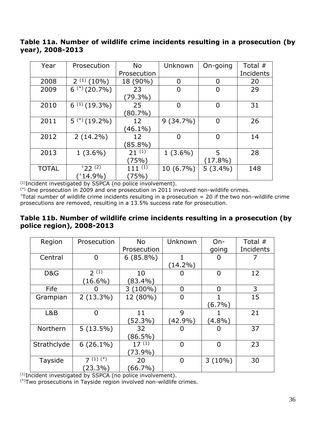## **Table 11a. Number of wildlife crime incidents resulting in a prosecution (by year), 2008-2013**

| Year         | Prosecution                | <b>No</b>   | Unknown        | On-going       | Total #   |
|--------------|----------------------------|-------------|----------------|----------------|-----------|
|              |                            | Prosecution |                |                | Incidents |
| 2008         | 2(1)<br>(10%               | 18 (90%)    | 0              | 0              | 20        |
| 2009         | $6$ <sup>(*)</sup> (20.7%) | 23          | $\overline{0}$ | $\overline{0}$ | 29        |
|              |                            | (79.3%)     |                |                |           |
| 2010         | $6^{(1)}(19.3\%)$          | 25          | $\overline{0}$ | $\overline{0}$ | 31        |
|              |                            | (80.7%)     |                |                |           |
| 2011         | $5$ $(*)$ (19.2%)          | 12          | $9(34.7\%)$    | 0              | 26        |
|              |                            | $(46.1\%)$  |                |                |           |
| 2012         | $2(14.2\%)$                | 12          | $\overline{0}$ | $\overline{0}$ | 14        |
|              |                            | $(85.8\%)$  |                |                |           |
| 2013         | $1(3.6\%)$                 | $21^{(1)}$  | $1(3.6\%)$     | 5              | 28        |
|              |                            | (75%)       |                | $(17.8\%)$     |           |
| <b>TOTAL</b> | $+22(2)$                   | $111^{(1)}$ | $10(6.7\%)$    | $5(3.4\%)$     | 148       |
|              | $(14.9\%)$                 | (75%)       |                |                |           |

(1)Incident investigated by SSPCA (no police involvement).

(\*) One prosecution in 2009 and one prosecution in 2011 involved non-wildlife crimes.

 $+T$ otal number of wildlife crime incidents resulting in a prosecution = 20 if the two non-wildlife crime prosecutions are removed, resulting in a 13.5% success rate for prosecution.

## **Table 11b. Number of wildlife crime incidents resulting in a prosecution (by police region), 2008-2013**

| Region      | Prosecution    | <b>No</b>   | Unknown        | $On-$          | Total $#$ |
|-------------|----------------|-------------|----------------|----------------|-----------|
|             |                | Prosecution |                | going          | Incidents |
| Central     | 0              | $6(85.8\%)$ |                |                |           |
|             |                |             | $(14.2\%)$     |                |           |
| D&G         | 2(1)           | 10          |                | $\overline{0}$ | 12        |
|             | $(16.6\%)$     | $(83.4\%)$  |                |                |           |
| Fife        |                | $3(100\%)$  | $\overline{0}$ | 0              | 3         |
| Grampian    | $2(13.3\%)$    | 12 (80%)    | $\overline{0}$ |                | 15        |
|             |                |             |                | $(6.7\%)$      |           |
| L&B         | $\overline{0}$ | 11          | 9              |                | 21        |
|             |                | (52.3%)     | $(42.9\%)$     | $(4.8\%)$      |           |
| Northern    | $5(13.5\%)$    | 32          | O              |                | 37        |
|             |                | $(86.5\%)$  |                |                |           |
| Strathclyde | $6(26.1\%)$    | 17(1)       | $\overline{0}$ | $\overline{0}$ | 23        |
|             |                | $(73.9\%)$  |                |                |           |
| Tayside     | $7(1)(*)$      | 20          | 0              | $3(10\%)$      | 30        |
|             | $(23.3\%)$     | $(66.7\%)$  |                |                |           |

(1)Incident investigated by SSPCA (no police involvement).

(\*)Two prosecutions in Tayside region involved non-wildlife crimes.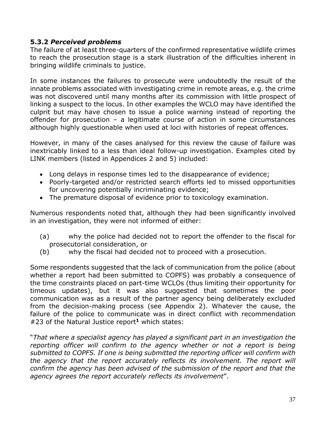### **5.3.2** *Perceived problems*

The failure of at least three-quarters of the confirmed representative wildlife crimes to reach the prosecution stage is a stark illustration of the difficulties inherent in bringing wildlife criminals to justice.

In some instances the failures to prosecute were undoubtedly the result of the innate problems associated with investigating crime in remote areas, e.g. the crime was not discovered until many months after its commission with little prospect of linking a suspect to the locus. In other examples the WCLO may have identified the culprit but may have chosen to issue a police warning instead of reporting the offender for prosecution – a legitimate course of action in some circumstances although highly questionable when used at loci with histories of repeat offences.

However, in many of the cases analysed for this review the cause of failure was inextricably linked to a less than ideal follow-up investigation. Examples cited by LINK members (listed in Appendices 2 and 5) included:

- Long delays in response times led to the disappearance of evidence;
- Poorly-targeted and/or restricted search efforts led to missed opportunities for uncovering potentially incriminating evidence;
- The premature disposal of evidence prior to toxicology examination.

Numerous respondents noted that, although they had been significantly involved in an investigation, they were not informed of either:

- (a) why the police had decided not to report the offender to the fiscal for prosecutorial consideration, or
- (b) why the fiscal had decided not to proceed with a prosecution.

Some respondents suggested that the lack of communication from the police (about whether a report had been submitted to COPFS) was probably a consequence of the time constraints placed on part-time WCLOs (thus limiting their opportunity for timeous updates), but it was also suggested that sometimes the poor communication was as a result of the partner agency being deliberately excluded from the decision-making process (see Appendix 2). Whatever the cause, the failure of the police to communicate was in direct conflict with recommendation #23 of the Natural Justice report**<sup>1</sup>** which states:

"*That where a specialist agency has played a significant part in an investigation the reporting officer will confirm to the agency whether or not a report is being submitted to COPFS. If one is being submitted the reporting officer will confirm with the agency that the report accurately reflects its involvement. The report will confirm the agency has been advised of the submission of the report and that the agency agrees the report accurately reflects its involvement*".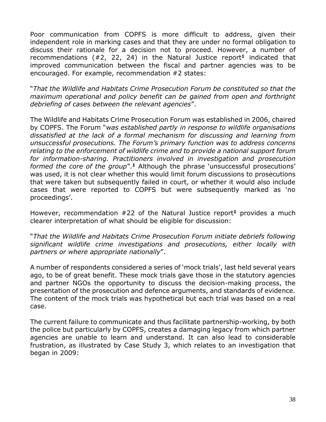Poor communication from COPFS is more difficult to address, given their independent role in marking cases and that they are under no formal obligation to discuss their rationale for a decision not to proceed. However, a number of recommendations (#2, 22, 24) in the Natural Justice report**<sup>1</sup>** indicated that improved communication between the fiscal and partner agencies was to be encouraged. For example, recommendation #2 states:

"*That the Wildlife and Habitats Crime Prosecution Forum be constituted so that the maximum operational and policy benefit can be gained from open and forthright debriefing of cases between the relevant agencies*".

The Wildlife and Habitats Crime Prosecution Forum was established in 2006, chaired by COPFS. The Forum "*was established partly in response to wildlife organisations dissatisfied at the lack of a formal mechanism for discussing and learning from unsuccessful prosecutions. The Forum's primary function was to address concerns relating to the enforcement of wildlife crime and to provide a national support forum for information-sharing. Practitioners involved in investigation and prosecution*  formed the core of the group".<sup>1</sup> Although the phrase 'unsuccessful prosecutions' was used, it is not clear whether this would limit forum discussions to prosecutions that were taken but subsequently failed in court, or whether it would also include cases that were reported to COPFS but were subsequently marked as 'no proceedings'.

However, recommendation #22 of the Natural Justice report**<sup>1</sup>** provides a much clearer interpretation of what should be eligible for discussion:

"*That the Wildlife and Habitats Crime Prosecution Forum initiate debriefs following significant wildlife crime investigations and prosecutions, either locally with partners or where appropriate nationally*".

A number of respondents considered a series of 'mock trials', last held several years ago, to be of great benefit. These mock trials gave those in the statutory agencies and partner NGOs the opportunity to discuss the decision-making process, the presentation of the prosecution and defence arguments, and standards of evidence. The content of the mock trials was hypothetical but each trial was based on a real case.

The current failure to communicate and thus facilitate partnership-working, by both the police but particularly by COPFS, creates a damaging legacy from which partner agencies are unable to learn and understand. It can also lead to considerable frustration, as illustrated by Case Study 3, which relates to an investigation that began in 2009: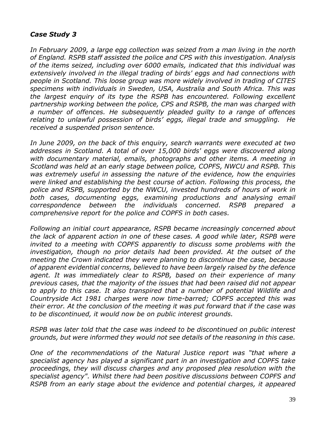## *Case Study 3*

*In February 2009, a large egg collection was seized from a man living in the north of England. RSPB staff assisted the police and CPS with this investigation. Analysis of the items seized, including over 6000 emails, indicated that this individual was extensively involved in the illegal trading of birds' eggs and had connections with people in Scotland. This loose group was more widely involved in trading of CITES specimens with individuals in Sweden, USA, Australia and South Africa. This was the largest enquiry of its type the RSPB has encountered. Following excellent partnership working between the police, CPS and RSPB, the man was charged with a number of offences. He subsequently pleaded guilty to a range of offences relating to unlawful possession of birds' eggs, illegal trade and smuggling. He received a suspended prison sentence.*

*In June 2009, on the back of this enquiry, search warrants were executed at two addresses in Scotland. A total of over 15,000 birds' eggs were discovered along with documentary material, emails, photographs and other items. A meeting in Scotland was held at an early stage between police, COPFS, NWCU and RSPB. This was extremely useful in assessing the nature of the evidence, how the enquiries were linked and establishing the best course of action. Following this process, the police and RSPB, supported by the NWCU, invested hundreds of hours of work in both cases, documenting eggs, examining productions and analysing email correspondence between the individuals concerned. RSPB prepared a comprehensive report for the police and COPFS in both cases.*

*Following an initial court appearance, RSPB became increasingly concerned about the lack of apparent action in one of these cases. A good while later, RSPB were invited to a meeting with COPFS apparently to discuss some problems with the* investigation, though no prior details had been provided. At the outset of the *meeting the Crown indicated they were planning to discontinue the case, because of apparent evidential concerns, believed to have been largely raised by the defence agent. It was immediately clear to RSPB, based on their experience of many previous cases, that the majority of the issues that had been raised did not appear to apply to this case. It also transpired that a number of potential Wildlife and Countryside Act 1981 charges were now time-barred; COPFS accepted this was their error. At the conclusion of the meeting it was put forward that if the case was to be discontinued, it would now be on public interest grounds.*

*RSPB was later told that the case was indeed to be discontinued on public interest grounds, but were informed they would not see details of the reasoning in this case.*

*One of the recommendations of the Natural Justice report was "that where a specialist agency has played a significant part in an investigation and COPFS take proceedings, they will discuss charges and any proposed plea resolution with the specialist agency". Whilst there had been positive discussions between COPFS and RSPB from an early stage about the evidence and potential charges, it appeared*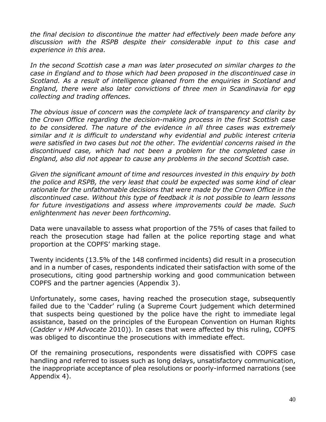*the final decision to discontinue the matter had effectively been made before any discussion with the RSPB despite their considerable input to this case and experience in this area.*

In the second Scottish case a man was later prosecuted on similar charges to the *case in England and to those which had been proposed in the discontinued case in Scotland. As a result of intelligence gleaned from the enquiries in Scotland and England, there were also later convictions of three men in Scandinavia for egg collecting and trading offences.* 

*The obvious issue of concern was the complete lack of transparency and clarity by the Crown Office regarding the decision-making process in the first Scottish case to be considered. The nature of the evidence in all three cases was extremely similar and it is difficult to understand why evidential and public interest criteria were satisfied in two cases but not the other. The evidential concerns raised in the discontinued case, which had not been a problem for the completed case in England, also did not appear to cause any problems in the second Scottish case.*

*Given the significant amount of time and resources invested in this enquiry by both the police and RSPB, the very least that could be expected was some kind of clear rationale for the unfathomable decisions that were made by the Crown Office in the discontinued case. Without this type of feedback it is not possible to learn lessons for future investigations and assess where improvements could be made. Such enlightenment has never been forthcoming.*

Data were unavailable to assess what proportion of the 75% of cases that failed to reach the prosecution stage had fallen at the police reporting stage and what proportion at the COPFS' marking stage.

Twenty incidents (13.5% of the 148 confirmed incidents) did result in a prosecution and in a number of cases, respondents indicated their satisfaction with some of the prosecutions, citing good partnership working and good communication between COPFS and the partner agencies (Appendix 3).

Unfortunately, some cases, having reached the prosecution stage, subsequently failed due to the 'Cadder' ruling (a Supreme Court judgement which determined that suspects being questioned by the police have the right to immediate legal assistance, based on the principles of the European Convention on Human Rights (*Cadder v HM Advocate* 2010)). In cases that were affected by this ruling, COPFS was obliged to discontinue the prosecutions with immediate effect.

Of the remaining prosecutions, respondents were dissatisfied with COPFS case handling and referred to issues such as long delays, unsatisfactory communication, the inappropriate acceptance of plea resolutions or poorly-informed narrations (see Appendix 4).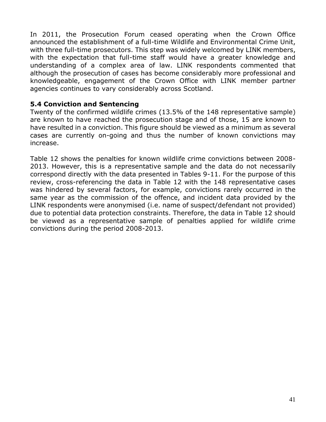In 2011, the Prosecution Forum ceased operating when the Crown Office announced the establishment of a full-time Wildlife and Environmental Crime Unit, with three full-time prosecutors. This step was widely welcomed by LINK members, with the expectation that full-time staff would have a greater knowledge and understanding of a complex area of law. LINK respondents commented that although the prosecution of cases has become considerably more professional and knowledgeable, engagement of the Crown Office with LINK member partner agencies continues to vary considerably across Scotland.

### **5.4 Conviction and Sentencing**

Twenty of the confirmed wildlife crimes (13.5% of the 148 representative sample) are known to have reached the prosecution stage and of those, 15 are known to have resulted in a conviction. This figure should be viewed as a minimum as several cases are currently on-going and thus the number of known convictions may increase.

Table 12 shows the penalties for known wildlife crime convictions between 2008- 2013. However, this is a representative sample and the data do not necessarily correspond directly with the data presented in Tables 9-11. For the purpose of this review, cross-referencing the data in Table 12 with the 148 representative cases was hindered by several factors, for example, convictions rarely occurred in the same year as the commission of the offence, and incident data provided by the LINK respondents were anonymised (i.e. name of suspect/defendant not provided) due to potential data protection constraints. Therefore, the data in Table 12 should be viewed as a representative sample of penalties applied for wildlife crime convictions during the period 2008-2013.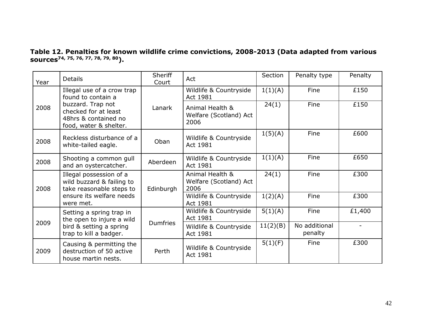**Table 12. Penalties for known wildlife crime convictions, 2008-2013 (Data adapted from various sources74, 75, 76, 77, 78, 79, 80).**

| Year | <b>Details</b>                                                                                             | <b>Sheriff</b><br>Court | Act                                               | Section  | Penalty type             | Penalty |
|------|------------------------------------------------------------------------------------------------------------|-------------------------|---------------------------------------------------|----------|--------------------------|---------|
|      | Illegal use of a crow trap<br>found to contain a                                                           |                         | Wildlife & Countryside<br>Act 1981                | 1(1)(A)  | Fine                     | £150    |
| 2008 | buzzard. Trap not<br>checked for at least<br>48hrs & contained no<br>food, water & shelter.                | Lanark                  | Animal Health &<br>Welfare (Scotland) Act<br>2006 | 24(1)    | Fine                     | £150    |
| 2008 | Reckless disturbance of a<br>white-tailed eagle.                                                           | Oban                    | Wildlife & Countryside<br>Act 1981                | 1(5)(A)  | Fine                     | £600    |
| 2008 | Shooting a common gull<br>and an oystercatcher.                                                            | Aberdeen                | Wildlife & Countryside<br>Act 1981                | 1(1)(A)  | Fine                     | £650    |
| 2008 | Illegal possession of a<br>wild buzzard & failing to<br>take reasonable steps to                           | Edinburgh               | Animal Health &<br>Welfare (Scotland) Act<br>2006 | 24(1)    | Fine                     | £300    |
|      | ensure its welfare needs<br>were met.                                                                      |                         | Wildlife & Countryside<br>Act 1981                | 1(2)(A)  | Fine                     | £300    |
| 2009 | Setting a spring trap in<br>the open to injure a wild<br>bird & setting a spring<br>trap to kill a badger. | <b>Dumfries</b>         | Wildlife & Countryside<br>Act 1981                | 5(1)(A)  | Fine                     | £1,400  |
|      |                                                                                                            |                         | Wildlife & Countryside<br>Act 1981                | 11(2)(B) | No additional<br>penalty |         |
| 2009 | Causing & permitting the<br>destruction of 50 active<br>house martin nests.                                | Perth                   | Wildlife & Countryside<br>Act 1981                | 5(1)(F)  | Fine                     | £300    |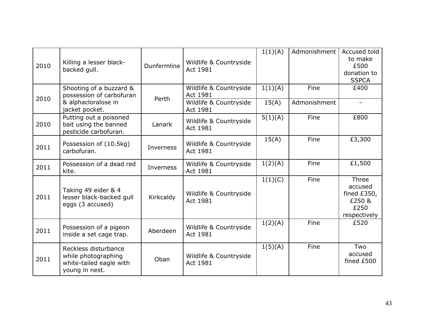| 2010 | Killing a lesser black-<br>backed gull.                                                      | Dunfermline | Wildlife & Countryside<br>Act 1981                                       | 1(1)(A)          | Admonishment         | Accused told<br>to make<br>£500<br>donation to<br><b>SSPCA</b>      |
|------|----------------------------------------------------------------------------------------------|-------------|--------------------------------------------------------------------------|------------------|----------------------|---------------------------------------------------------------------|
| 2010 | Shooting of a buzzard &<br>possession of carbofuran<br>& alphacloralose in<br>jacket pocket. | Perth       | Wildlife & Countryside<br>Act 1981<br>Wildlife & Countryside<br>Act 1981 | 1(1)(A)<br>15(A) | Fine<br>Admonishment | £400                                                                |
| 2010 | Putting out a poisoned<br>bait using the banned<br>pesticide carbofuran.                     | Lanark      | Wildlife & Countryside<br>Act 1981                                       | 5(1)(A)          | Fine                 | £800                                                                |
| 2011 | Possession of (10.5kg)<br>carbofuran.                                                        | Inverness   | Wildlife & Countryside<br>Act 1981                                       | 15(A)            | Fine                 | £3,300                                                              |
| 2011 | Possession of a dead red<br>kite.                                                            | Inverness   | Wildlife & Countryside<br>Act 1981                                       | 1(2)(A)          | Fine                 | £1,500                                                              |
| 2011 | Taking 49 eider & 4<br>lesser black-backed gull<br>eggs (3 accused)                          | Kirkcaldy   | Wildlife & Countryside<br>Act 1981                                       | 1(1)(C)          | Fine                 | Three<br>accused<br>fined $£350,$<br>£250 &<br>£250<br>respectively |
| 2011 | Possession of a pigeon<br>inside a set cage trap.                                            | Aberdeen    | Wildlife & Countryside<br>Act 1981                                       | 1(2)(A)          | Fine                 | £520                                                                |
| 2011 | Reckless disturbance<br>while photographing<br>white-tailed eagle with<br>young in nest.     | Oban        | Wildlife & Countryside<br>Act 1981                                       | 1(5)(A)          | Fine                 | Two<br>accused<br>fined £500                                        |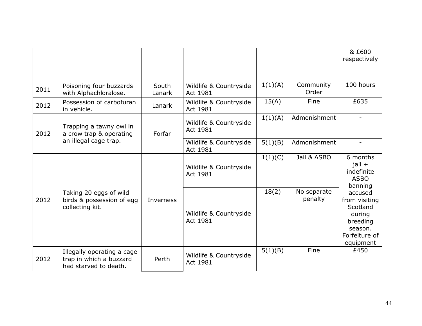|      |                                                                                |                 |                                    |         |                        | & £600<br>respectively                                                                              |
|------|--------------------------------------------------------------------------------|-----------------|------------------------------------|---------|------------------------|-----------------------------------------------------------------------------------------------------|
| 2011 | Poisoning four buzzards<br>with Alphachloralose.                               | South<br>Lanark | Wildlife & Countryside<br>Act 1981 | 1(1)(A) | Community<br>Order     | 100 hours                                                                                           |
| 2012 | Possession of carbofuran<br>in vehicle.                                        | Lanark          | Wildlife & Countryside<br>Act 1981 | 15(A)   | Fine                   | £635                                                                                                |
| 2012 | Trapping a tawny owl in<br>a crow trap & operating<br>an illegal cage trap.    | Forfar          | Wildlife & Countryside<br>Act 1981 | 1(1)(A) | Admonishment           |                                                                                                     |
|      |                                                                                |                 | Wildlife & Countryside<br>Act 1981 | 5(1)(B) | Admonishment           |                                                                                                     |
| 2012 | Taking 20 eggs of wild<br>birds & possession of egg<br>collecting kit.         | Inverness       | Wildlife & Countryside<br>Act 1981 | 1(1)(C) | Jail & ASBO            | 6 months<br>$jail +$<br>indefinite<br><b>ASBO</b><br>banning                                        |
|      |                                                                                |                 | Wildlife & Countryside<br>Act 1981 | 18(2)   | No separate<br>penalty | accused<br>from visiting<br>Scotland<br>during<br>breeding<br>season.<br>Forfeiture of<br>equipment |
| 2012 | Illegally operating a cage<br>trap in which a buzzard<br>had starved to death. | Perth           | Wildlife & Countryside<br>Act 1981 | 5(1)(B) | Fine                   | £450                                                                                                |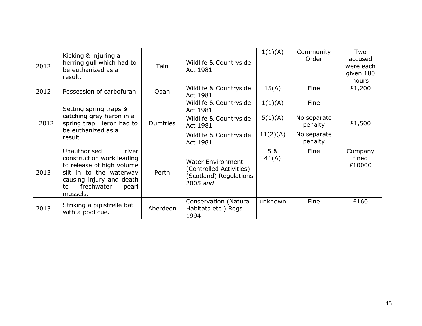| 2012 | Kicking & injuring a<br>herring gull which had to<br>be euthanized as a<br>result.                                                                                              | Tain            | Wildlife & Countryside<br>Act 1981                                                          | 1(1)(A)      | Community<br>Order     | Two<br>accused<br>were each<br>given 180<br>hours |
|------|---------------------------------------------------------------------------------------------------------------------------------------------------------------------------------|-----------------|---------------------------------------------------------------------------------------------|--------------|------------------------|---------------------------------------------------|
| 2012 | Possession of carbofuran                                                                                                                                                        | Oban            | Wildlife & Countryside<br>Act 1981                                                          | 15(A)        | Fine                   | £1,200                                            |
|      | Setting spring traps &                                                                                                                                                          |                 | Wildlife & Countryside<br>Act 1981                                                          | 1(1)(A)      | Fine                   |                                                   |
| 2012 | catching grey heron in a<br>spring trap. Heron had to<br>be euthanized as a                                                                                                     | <b>Dumfries</b> | Wildlife & Countryside<br>Act 1981                                                          | 5(1)(A)      | No separate<br>penalty | £1,500                                            |
|      | result.                                                                                                                                                                         |                 | Wildlife & Countryside<br>Act 1981                                                          | 11(2)(A)     | No separate<br>penalty |                                                   |
| 2013 | Unauthorised<br>river<br>construction work leading<br>to release of high volume<br>silt in to the waterway<br>causing injury and death<br>freshwater<br>pearl<br>to<br>mussels. | Perth           | <b>Water Environment</b><br>(Controlled Activities)<br>(Scotland) Regulations<br>$2005$ and | 5 &<br>41(A) | Fine                   | Company<br>fined<br>£10000                        |
| 2013 | Striking a pipistrelle bat<br>with a pool cue.                                                                                                                                  | Aberdeen        | <b>Conservation (Natural</b><br>Habitats etc.) Regs<br>1994                                 | unknown      | Fine                   | £160                                              |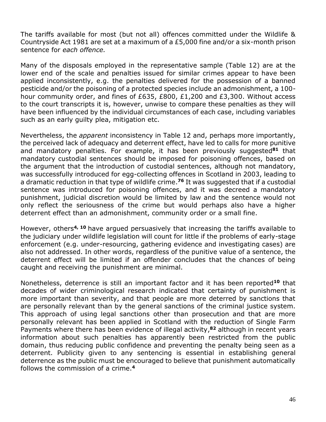The tariffs available for most (but not all) offences committed under the Wildlife & Countryside Act 1981 are set at a maximum of a £5,000 fine and/or a six-month prison sentence for *each offence.*

Many of the disposals employed in the representative sample (Table 12) are at the lower end of the scale and penalties issued for similar crimes appear to have been applied inconsistently, e.g. the penalties delivered for the possession of a banned pesticide and/or the poisoning of a protected species include an admonishment, a 100 hour community order, and fines of £635, £800, £1,200 and £3,300. Without access to the court transcripts it is, however, unwise to compare these penalties as they will have been influenced by the individual circumstances of each case, including variables such as an early guilty plea, mitigation etc.

Nevertheless, the *apparent* inconsistency in Table 12 and, perhaps more importantly, the perceived lack of adequacy and deterrent effect, have led to calls for more punitive and mandatory penalties. For example, it has been previously suggested**<sup>81</sup>** that mandatory custodial sentences should be imposed for poisoning offences, based on the argument that the introduction of custodial sentences, although not mandatory, was successfully introduced for egg-collecting offences in Scotland in 2003, leading to a dramatic reduction in that type of wildlife crime. **<sup>76</sup>** It was suggested that if a custodial sentence was introduced for poisoning offences, and it was decreed a mandatory punishment, judicial discretion would be limited by law and the sentence would not only reflect the seriousness of the crime but would perhaps also have a higher deterrent effect than an admonishment, community order or a small fine.

However, others **4, 10** have argued persuasively that increasing the tariffs available to the judiciary under wildlife legislation will count for little if the problems of early-stage enforcement (e.g. under-resourcing, gathering evidence and investigating cases) are also not addressed. In other words, regardless of the punitive value of a sentence, the deterrent effect will be limited if an offender concludes that the chances of being caught and receiving the punishment are minimal.

Nonetheless, deterrence is still an important factor and it has been reported**<sup>10</sup>** that decades of wider criminological research indicated that certainty of punishment is more important than severity, and that people are more deterred by sanctions that are personally relevant than by the general sanctions of the criminal justice system. This approach of using legal sanctions other than prosecution and that are more personally relevant has been applied in Scotland with the reduction of Single Farm Payments where there has been evidence of illegal activity, **<sup>82</sup>** although in recent years information about such penalties has apparently been restricted from the public domain, thus reducing public confidence and preventing the penalty being seen as a deterrent. Publicity given to any sentencing is essential in establishing general deterrence as the public must be encouraged to believe that punishment automatically follows the commission of a crime. **4**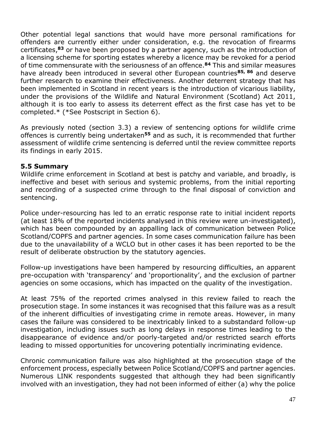Other potential legal sanctions that would have more personal ramifications for offenders are currently either under consideration, e.g. the revocation of firearms certificates, **<sup>83</sup>** or have been proposed by a partner agency, such as the introduction of a licensing scheme for sporting estates whereby a licence may be revoked for a period of time commensurate with the seriousness of an offence. **<sup>84</sup>** This and similar measures have already been introduced in several other European countries**85, 86** and deserve further research to examine their effectiveness. Another deterrent strategy that has been implemented in Scotland in recent years is the introduction of vicarious liability, under the provisions of the Wildlife and Natural Environment (Scotland) Act 2011, although it is too early to assess its deterrent effect as the first case has yet to be completed.\* (\*See Postscript in Section 6).

As previously noted (section 3.3) a review of sentencing options for wildlife crime offences is currently being undertaken**<sup>55</sup>** and as such, it is recommended that further assessment of wildlife crime sentencing is deferred until the review committee reports its findings in early 2015.

#### **5.5 Summary**

Wildlife crime enforcement in Scotland at best is patchy and variable, and broadly, is ineffective and beset with serious and systemic problems, from the initial reporting and recording of a suspected crime through to the final disposal of conviction and sentencing.

Police under-resourcing has led to an erratic response rate to initial incident reports (at least 18% of the reported incidents analysed in this review were un-investigated), which has been compounded by an appalling lack of communication between Police Scotland/COPFS and partner agencies. In some cases communication failure has been due to the unavailability of a WCLO but in other cases it has been reported to be the result of deliberate obstruction by the statutory agencies.

Follow-up investigations have been hampered by resourcing difficulties, an apparent pre-occupation with 'transparency' and 'proportionality', and the exclusion of partner agencies on some occasions, which has impacted on the quality of the investigation.

At least 75% of the reported crimes analysed in this review failed to reach the prosecution stage. In some instances it was recognised that this failure was as a result of the inherent difficulties of investigating crime in remote areas. However, in many cases the failure was considered to be inextricably linked to a substandard follow-up investigation, including issues such as long delays in response times leading to the disappearance of evidence and/or poorly-targeted and/or restricted search efforts leading to missed opportunities for uncovering potentially incriminating evidence.

Chronic communication failure was also highlighted at the prosecution stage of the enforcement process, especially between Police Scotland/COPFS and partner agencies. Numerous LINK respondents suggested that although they had been significantly involved with an investigation, they had not been informed of either (a) why the police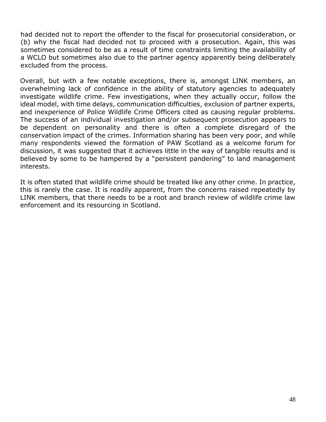had decided not to report the offender to the fiscal for prosecutorial consideration, or (b) why the fiscal had decided not to proceed with a prosecution. Again, this was sometimes considered to be as a result of time constraints limiting the availability of a WCLO but sometimes also due to the partner agency apparently being deliberately excluded from the process.

Overall, but with a few notable exceptions, there is, amongst LINK members, an overwhelming lack of confidence in the ability of statutory agencies to adequately investigate wildlife crime. Few investigations, when they actually occur, follow the ideal model, with time delays, communication difficulties, exclusion of partner experts, and inexperience of Police Wildlife Crime Officers cited as causing regular problems. The success of an individual investigation and/or subsequent prosecution appears to be dependent on personality and there is often a complete disregard of the conservation impact of the crimes. Information sharing has been very poor, and while many respondents viewed the formation of PAW Scotland as a welcome forum for discussion, it was suggested that it achieves little in the way of tangible results and is believed by some to be hampered by a "persistent pandering" to land management interests.

It is often stated that wildlife crime should be treated like any other crime. In practice, this is rarely the case. It is readily apparent, from the concerns raised repeatedly by LINK members, that there needs to be a root and branch review of wildlife crime law enforcement and its resourcing in Scotland.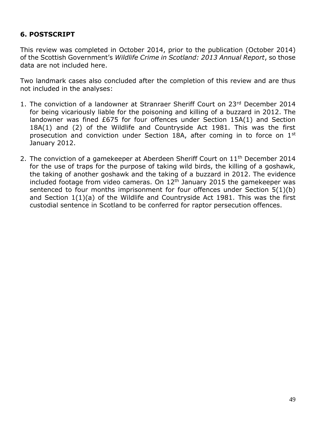# **6. POSTSCRIPT**

This review was completed in October 2014, prior to the publication (October 2014) of the Scottish Government's *Wildlife Crime in Scotland: 2013 Annual Report*, so those data are not included here.

Two landmark cases also concluded after the completion of this review and are thus not included in the analyses:

- 1. The conviction of a landowner at Stranraer Sheriff Court on 23rd December 2014 for being vicariously liable for the poisoning and killing of a buzzard in 2012. The landowner was fined £675 for four offences under Section 15A(1) and Section 18A(1) and (2) of the Wildlife and Countryside Act 1981. This was the first prosecution and conviction under Section 18A, after coming in to force on 1<sup>st</sup> January 2012.
- 2. The conviction of a gamekeeper at Aberdeen Sheriff Court on  $11<sup>th</sup>$  December 2014 for the use of traps for the purpose of taking wild birds, the killing of a goshawk, the taking of another goshawk and the taking of a buzzard in 2012. The evidence included footage from video cameras. On  $12<sup>th</sup>$  January 2015 the gamekeeper was sentenced to four months imprisonment for four offences under Section 5(1)(b) and Section 1(1)(a) of the Wildlife and Countryside Act 1981. This was the first custodial sentence in Scotland to be conferred for raptor persecution offences.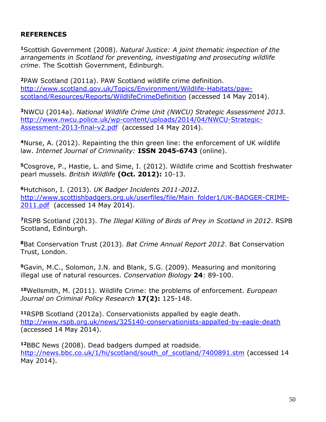# **REFERENCES**

**<sup>1</sup>**Scottish Government (2008). *Natural Justice: A joint thematic inspection of the arrangements in Scotland for preventing, investigating and prosecuting wildlife crime*. The Scottish Government, Edinburgh.

**<sup>2</sup>**PAW Scotland (2011a). PAW Scotland wildlife crime definition. [http://www.scotland.gov.uk/Topics/Environment/Wildlife-Habitats/paw](http://www.scotland.gov.uk/Topics/Environment/Wildlife-Habitats/paw-scotland/Resources/Reports/WildlifeCrimeDefinition)[scotland/Resources/Reports/WildlifeCrimeDefinition](http://www.scotland.gov.uk/Topics/Environment/Wildlife-Habitats/paw-scotland/Resources/Reports/WildlifeCrimeDefinition) (accessed 14 May 2014).

**<sup>3</sup>**NWCU (2014a). *National Wildlife Crime Unit (NWCU) Strategic Assessment 2013.*  [http://www.nwcu.police.uk/wp-content/uploads/2014/04/NWCU-Strategic-](http://www.nwcu.police.uk/wp-content/uploads/2014/04/NWCU-Strategic-Assessment-2013-final-v2.pdf)[Assessment-2013-final-v2.pdf](http://www.nwcu.police.uk/wp-content/uploads/2014/04/NWCU-Strategic-Assessment-2013-final-v2.pdf) (accessed 14 May 2014).

**<sup>4</sup>**Nurse, A. (2012). Repainting the thin green line: the enforcement of UK wildlife law. *Internet Journal of Criminality:* **ISSN 2045-6743** (online).

**<sup>5</sup>**Cosgrove, P., Hastie, L. and Sime, I. (2012). Wildlife crime and Scottish freshwater pearl mussels. *British Wildlife* **(Oct. 2012):** 10-13.

**<sup>6</sup>**Hutchison, I. (2013). *UK Badger Incidents 2011-2012*. [http://www.scottishbadgers.org.uk/userfiles/file/Main\\_folder1/UK-BADGER-CRIME-](http://www.scottishbadgers.org.uk/userfiles/file/Main_folder1/UK-BADGER-CRIME-2011.pdf)[2011.pdf](http://www.scottishbadgers.org.uk/userfiles/file/Main_folder1/UK-BADGER-CRIME-2011.pdf) (accessed 14 May 2014).

**<sup>7</sup>**RSPB Scotland (2013). *The Illegal Killing of Birds of Prey in Scotland in 2012*. RSPB Scotland, Edinburgh.

**<sup>8</sup>**Bat Conservation Trust (2013). *Bat Crime Annual Report 2012*. Bat Conservation Trust, London.

**<sup>9</sup>**Gavin, M.C., Solomon, J.N. and Blank, S.G. (2009). Measuring and monitoring illegal use of natural resources. *Conservation Biology* **24**: 89-100.

**<sup>10</sup>**Wellsmith, M. (2011). Wildlife Crime: the problems of enforcement. *European Journal on Criminal Policy Research* **17(2):** 125-148.

**<sup>11</sup>**RSPB Scotland (2012a). Conservationists appalled by eagle death. <http://www.rspb.org.uk/news/325140-conservationists-appalled-by-eagle-death> (accessed 14 May 2014).

**<sup>12</sup>**BBC News (2008). Dead badgers dumped at roadside. [http://news.bbc.co.uk/1/hi/scotland/south\\_of\\_scotland/7400891.stm](http://news.bbc.co.uk/1/hi/scotland/south_of_scotland/7400891.stm) (accessed 14 May 2014).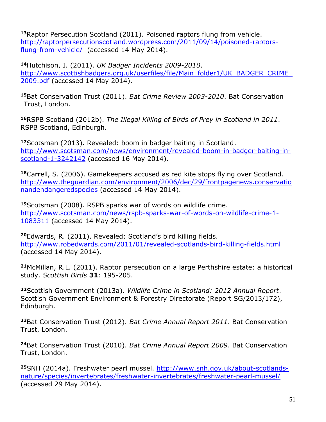**<sup>13</sup>**Raptor Persecution Scotland (2011). Poisoned raptors flung from vehicle. [http://raptorpersecutionscotland.wordpress.com/2011/09/14/poisoned-raptors](http://raptorpersecutionscotland.wordpress.com/2011/09/14/poisoned-raptors-flung-from-vehicle/)[flung-from-vehicle/](http://raptorpersecutionscotland.wordpress.com/2011/09/14/poisoned-raptors-flung-from-vehicle/) (accessed 14 May 2014).

**<sup>14</sup>**Hutchison, I. (2011). *UK Badger Incidents 2009-2010*. http://www.scottishbadgers.org.uk/userfiles/file/Main\_folder1/UK\_BADGER\_CRIME [2009.pdf](http://www.scottishbadgers.org.uk/userfiles/file/Main_folder1/UK_BADGER_CRIME_2009.pdf) (accessed 14 May 2014).

**<sup>15</sup>**Bat Conservation Trust (2011). *Bat Crime Review 2003-2010*. Bat Conservation Trust, London.

**<sup>16</sup>**RSPB Scotland (2012b). *The Illegal Killing of Birds of Prey in Scotland in 2011*. RSPB Scotland, Edinburgh.

**<sup>17</sup>**Scotsman (2013). Revealed: boom in badger baiting in Scotland. [http://www.scotsman.com/news/environment/revealed-boom-in-badger-baiting-in](http://www.scotsman.com/news/environment/revealed-boom-in-badger-baiting-in-scotland-1-3242142)[scotland-1-3242142](http://www.scotsman.com/news/environment/revealed-boom-in-badger-baiting-in-scotland-1-3242142) (accessed 16 May 2014).

**<sup>18</sup>**Carrell, S. (2006). Gamekeepers accused as red kite stops flying over Scotland. [http://www.theguardian.com/environment/2006/dec/29/frontpagenews.conservatio](http://www.theguardian.com/environment/2006/dec/29/frontpagenews.conservationandendangeredspecies) [nandendangeredspecies](http://www.theguardian.com/environment/2006/dec/29/frontpagenews.conservationandendangeredspecies) (accessed 14 May 2014).

**<sup>19</sup>**Scotsman (2008). RSPB sparks war of words on wildlife crime. [http://www.scotsman.com/news/rspb-sparks-war-of-words-on-wildlife-crime-1-](http://www.scotsman.com/news/rspb-sparks-war-of-words-on-wildlife-crime-1-1083311) [1083311](http://www.scotsman.com/news/rspb-sparks-war-of-words-on-wildlife-crime-1-1083311) (accessed 14 May 2014).

**<sup>20</sup>**Edwards, R. (2011). Revealed: Scotland's bird killing fields. <http://www.robedwards.com/2011/01/revealed-scotlands-bird-killing-fields.html> (accessed 14 May 2014).

**<sup>21</sup>**McMillan, R.L. (2011). Raptor persecution on a large Perthshire estate: a historical study. *Scottish Birds* **31**: 195-205.

**<sup>22</sup>**Scottish Government (2013a). *Wildlife Crime in Scotland: 2012 Annual Report*. Scottish Government Environment & Forestry Directorate (Report SG/2013/172), Edinburgh.

**<sup>23</sup>**Bat Conservation Trust (2012). *Bat Crime Annual Report 2011*. Bat Conservation Trust, London.

**<sup>24</sup>**Bat Conservation Trust (2010). *Bat Crime Annual Report 2009*. Bat Conservation Trust, London.

**25**SNH (2014a). Freshwater pearl mussel. [http://www.snh.gov.uk/about-scotlands](http://www.snh.gov.uk/about-scotlands-nature/species/invertebrates/freshwater-invertebrates/freshwater-pearl-mussel/)[nature/species/invertebrates/freshwater-invertebrates/freshwater-pearl-mussel/](http://www.snh.gov.uk/about-scotlands-nature/species/invertebrates/freshwater-invertebrates/freshwater-pearl-mussel/) (accessed 29 May 2014).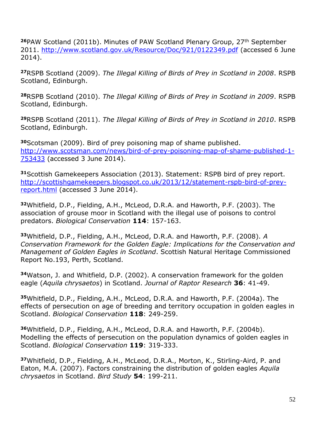**<sup>26</sup>**PAW Scotland (2011b). Minutes of PAW Scotland Plenary Group, 27th September 2011.<http://www.scotland.gov.uk/Resource/Doc/921/0122349.pdf> (accessed 6 June 2014).

**<sup>27</sup>**RSPB Scotland (2009). *The Illegal Killing of Birds of Prey in Scotland in 2008*. RSPB Scotland, Edinburgh.

**<sup>28</sup>**RSPB Scotland (2010). *The Illegal Killing of Birds of Prey in Scotland in 2009*. RSPB Scotland, Edinburgh.

**<sup>29</sup>**RSPB Scotland (2011). *The Illegal Killing of Birds of Prey in Scotland in 2010*. RSPB Scotland, Edinburgh.

**<sup>30</sup>**Scotsman (2009). Bird of prey poisoning map of shame published. [http://www.scotsman.com/news/bird-of-prey-poisoning-map-of-shame-published-1-](http://www.scotsman.com/news/bird-of-prey-poisoning-map-of-shame-published-1-753433) [753433](http://www.scotsman.com/news/bird-of-prey-poisoning-map-of-shame-published-1-753433) (accessed 3 June 2014).

**<sup>31</sup>**Scottish Gamekeepers Association (2013). Statement: RSPB bird of prey report. [http://scottishgamekeepers.blogspot.co.uk/2013/12/statement-rspb-bird-of-prey](http://scottishgamekeepers.blogspot.co.uk/2013/12/statement-rspb-bird-of-prey-report.html)[report.html](http://scottishgamekeepers.blogspot.co.uk/2013/12/statement-rspb-bird-of-prey-report.html) (accessed 3 June 2014).

**<sup>32</sup>**Whitfield, D.P., Fielding, A.H., McLeod, D.R.A. and Haworth, P.F. (2003). The association of grouse moor in Scotland with the illegal use of poisons to control predators. *Biological Conservation* **114**: 157-163.

**<sup>33</sup>**Whitfield, D.P., Fielding, A.H., McLeod, D.R.A. and Haworth, P.F. (2008). *A Conservation Framework for the Golden Eagle: Implications for the Conservation and Management of Golden Eagles in Scotland*. Scottish Natural Heritage Commissioned Report No.193, Perth, Scotland.

**<sup>34</sup>**Watson, J. and Whitfield, D.P. (2002). A conservation framework for the golden eagle (*Aquila chrysaetos*) in Scotland. *Journal of Raptor Research* **36**: 41-49.

**<sup>35</sup>**Whitfield, D.P., Fielding, A.H., McLeod, D.R.A. and Haworth, P.F. (2004a). The effects of persecution on age of breeding and territory occupation in golden eagles in Scotland. *Biological Conservation* **118**: 249-259.

**<sup>36</sup>**Whitfield, D.P., Fielding, A.H., McLeod, D.R.A. and Haworth, P.F. (2004b). Modelling the effects of persecution on the population dynamics of golden eagles in Scotland. *Biological Conservation* **119**: 319-333.

**<sup>37</sup>**Whitfield, D.P., Fielding, A.H., McLeod, D.R.A., Morton, K., Stirling-Aird, P. and Eaton, M.A. (2007). Factors constraining the distribution of golden eagles *Aquila chrysaetos* in Scotland. *Bird Study* **54**: 199-211.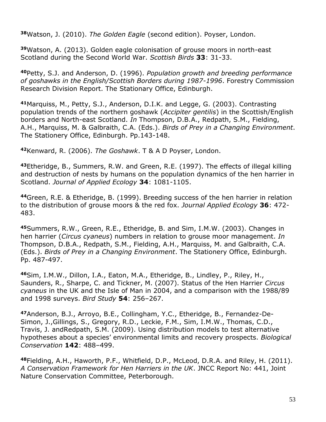**<sup>38</sup>**Watson, J. (2010). *The Golden Eagle* (second edition). Poyser, London.

**<sup>39</sup>**Watson, A. (2013). Golden eagle colonisation of grouse moors in north-east Scotland during the Second World War. *Scottish Birds* **33**: 31-33.

**<sup>40</sup>**Petty, S.J. and Anderson, D. (1996). *Population growth and breeding performance of goshawks in the English/Scottish Borders during 1987-1996*. Forestry Commission Research Division Report. The Stationary Office, Edinburgh.

**<sup>41</sup>**Marquiss, M., Petty, S.J., Anderson, D.I.K. and Legge, G. (2003). Contrasting population trends of the northern goshawk (*Accipiter gentilis*) in the Scottish/English borders and North-east Scotland. *In* Thompson, D.B.A., Redpath, S.M., Fielding, A.H., Marquiss, M. & Galbraith, C.A. (Eds.). *Birds of Prey in a Changing Environment*. The Stationery Office, Edinburgh. Pp.143-148.

**<sup>42</sup>**Kenward, R. (2006). *The Goshawk*. T & A D Poyser, London.

**<sup>43</sup>**Etheridge, B., Summers, R.W. and Green, R.E. (1997). The effects of illegal killing and destruction of nests by humans on the population dynamics of the hen harrier in Scotland. *Journal of Applied Ecology* **34**: 1081-1105.

**<sup>44</sup>**Green, R.E. & Etheridge, B. (1999). Breeding success of the hen harrier in relation to the distribution of grouse moors & the red fox. *Journal Applied Ecology* **36**: 472- 483.

**<sup>45</sup>**Summers, R.W., Green, R.E., Etheridge, B. and Sim, I.M.W. (2003). Changes in hen harrier (*Circus cyaneus*) numbers in relation to grouse moor management. *In* Thompson, D.B.A., Redpath, S.M., Fielding, A.H., Marquiss, M. and Galbraith, C.A. (Eds.). *Birds of Prey in a Changing Environment*. The Stationery Office, Edinburgh. Pp. 487-497.

**<sup>46</sup>**Sim, I.M.W., Dillon, I.A., Eaton, M.A., Etheridge, B., Lindley, P., Riley, H., Saunders, R., Sharpe, C. and Tickner, M. (2007). Status of the Hen Harrier *Circus cyaneus* in the UK and the Isle of Man in 2004, and a comparison with the 1988/89 and 1998 surveys. *Bird Study* **54**: 256–267.

**47**Anderson, B.J., Arroyo, B.E., Collingham, Y.C., Etheridge, B., Fernandez-De-Simon, J.,Gillings, S., Gregory, R.D., Leckie, F.M., Sim, I.M.W., Thomas, C.D., Travis, J. andRedpath, S.M. (2009). Using distribution models to test alternative hypotheses about a species' environmental limits and recovery prospects. *Biological Conservation* **142**: 488–499.

**<sup>48</sup>**Fielding, A.H., Haworth, P.F., Whitfield, D.P., McLeod, D.R.A. and Riley, H. (2011). *A Conservation Framework for Hen Harriers in the UK*. JNCC Report No: 441, Joint Nature Conservation Committee, Peterborough.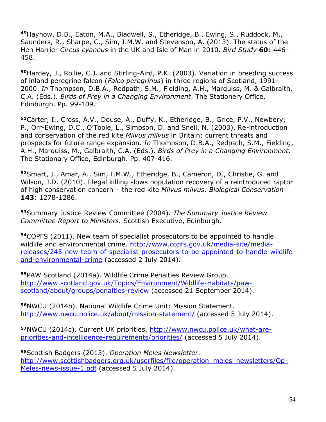**<sup>49</sup>**Hayhow, D.B., Eaton, M.A., Bladwell, S., Etheridge, B., Ewing, S., Ruddock, M., Saunders, R., Sharpe, C., Sim, I.M.W. and Stevenson, A. (2013). The status of the Hen Harrier *Circus cyaneus* in the UK and Isle of Man in 2010. *Bird Study* **60**: 446- 458.

**<sup>50</sup>**Hardey, J., Rollie, C.J. and Stirling-Aird, P.K. (2003). Variation in breeding success of inland peregrine falcon (*Falco peregrinus*) in three regions of Scotland, 1991- 2000. *In* Thompson, D.B.A., Redpath, S.M., Fielding, A.H., Marquiss, M. & Galbraith, C.A. (Eds.). *Birds of Prey in a Changing Environment*. The Stationery Office, Edinburgh. Pp. 99-109.

**<sup>51</sup>**Carter, I., Cross, A.V., Douse, A., Duffy, K., Etheridge, B., Grice, P.V., Newbery, P., Orr-Ewing, D.C., O'Toole, L., Simpson, D. and Snell, N. (2003). Re-introduction and conservation of the red kite *Milvus milvus* in Britain: current threats and prospects for future range expansion. *In* Thompson, D.B.A., Redpath, S.M., Fielding, A.H., Marquiss, M., Galbraith, C.A. (Eds.). *Birds of Prey in a Changing Environment*. The Stationary Office, Edinburgh. Pp. 407-416.

**<sup>52</sup>**Smart, J., Amar, A., Sim, I.M.W., Etheridge, B., Cameron, D., Christie, G. and Wilson, J.D. (2010). Illegal killing slows population recovery of a reintroduced raptor of high conservation concern – the red kite *Milvus milvus*. *Biological Conservation* **143**: 1278-1286.

**<sup>53</sup>**Summary Justice Review Committee (2004). *The Summary Justice Review Committee Report to Ministers.* Scottish Executive, Edinburgh.

**<sup>54</sup>**COPFS (2011). New team of specialist prosecutors to be appointed to handle wildlife and environmental crime. [http://www.copfs.gov.uk/media-site/media](http://www.copfs.gov.uk/media-site/media-releases/245-new-team-of-specialist-prosecutors-to-be-appointed-to-handle-wildlife-and-environmental-crime)[releases/245-new-team-of-specialist-prosecutors-to-be-appointed-to-handle-wildlife](http://www.copfs.gov.uk/media-site/media-releases/245-new-team-of-specialist-prosecutors-to-be-appointed-to-handle-wildlife-and-environmental-crime)[and-environmental-crime](http://www.copfs.gov.uk/media-site/media-releases/245-new-team-of-specialist-prosecutors-to-be-appointed-to-handle-wildlife-and-environmental-crime) (accessed 2 July 2014).

**<sup>55</sup>**PAW Scotland (2014a). Wildlife Crime Penalties Review Group. [http://www.scotland.gov.uk/Topics/Environment/Wildlife-Habitats/paw](http://www.scotland.gov.uk/Topics/Environment/Wildlife-Habitats/paw-scotland/about/groups/penalties-review)[scotland/about/groups/penalties-review](http://www.scotland.gov.uk/Topics/Environment/Wildlife-Habitats/paw-scotland/about/groups/penalties-review) (accessed 21 September 2014).

**<sup>56</sup>**NWCU (2014b). National Wildlife Crime Unit: Mission Statement. <http://www.nwcu.police.uk/about/mission-statement/> (accessed 5 July 2014).

**57**NWCU (2014c). Current UK priorities. [http://www.nwcu.police.uk/what-are](http://www.nwcu.police.uk/what-are-priorities-and-intelligence-requirements/priorities/)[priorities-and-intelligence-requirements/priorities/](http://www.nwcu.police.uk/what-are-priorities-and-intelligence-requirements/priorities/) (accessed 5 July 2014).

**<sup>58</sup>**Scottish Badgers (2013). *Operation Meles Newsletter*. [http://www.scottishbadgers.org.uk/userfiles/file/operation\\_meles\\_newsletters/Op-](http://www.scottishbadgers.org.uk/userfiles/file/operation_meles_newsletters/Op-Meles-news-issue-1.pdf)[Meles-news-issue-1.pdf](http://www.scottishbadgers.org.uk/userfiles/file/operation_meles_newsletters/Op-Meles-news-issue-1.pdf) (accessed 5 July 2014).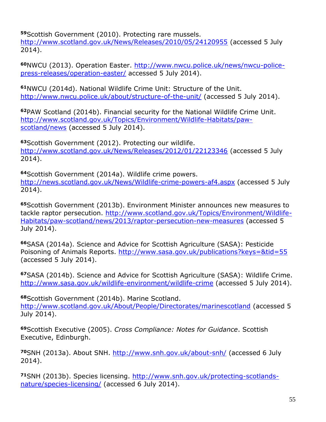**<sup>59</sup>**Scottish Government (2010). Protecting rare mussels. <http://www.scotland.gov.uk/News/Releases/2010/05/24120955> (accessed 5 July 2014).

**60**NWCU (2013). Operation Easter. [http://www.nwcu.police.uk/news/nwcu-police](http://www.nwcu.police.uk/news/nwcu-police-press-releases/operation-easter/)[press-releases/operation-easter/](http://www.nwcu.police.uk/news/nwcu-police-press-releases/operation-easter/) accessed 5 July 2014).

**<sup>61</sup>**NWCU (2014d). National Wildlife Crime Unit: Structure of the Unit. <http://www.nwcu.police.uk/about/structure-of-the-unit/> (accessed 5 July 2014).

**<sup>62</sup>**PAW Scotland (2014b). Financial security for the National Wildlife Crime Unit. [http://www.scotland.gov.uk/Topics/Environment/Wildlife-Habitats/paw](http://www.scotland.gov.uk/Topics/Environment/Wildlife-Habitats/paw-scotland/news)[scotland/news](http://www.scotland.gov.uk/Topics/Environment/Wildlife-Habitats/paw-scotland/news) (accessed 5 July 2014).

**<sup>63</sup>**Scottish Government (2012). Protecting our wildlife. <http://www.scotland.gov.uk/News/Releases/2012/01/22123346> (accessed 5 July 2014).

**<sup>64</sup>**Scottish Government (2014a). Wildlife crime powers. <http://news.scotland.gov.uk/News/Wildlife-crime-powers-af4.aspx> (accessed 5 July 2014).

**<sup>65</sup>**Scottish Government (2013b). Environment Minister announces new measures to tackle raptor persecution. [http://www.scotland.gov.uk/Topics/Environment/Wildlife-](http://www.scotland.gov.uk/Topics/Environment/Wildlife-Habitats/paw-scotland/news/2013/raptor-persecution-new-measures)[Habitats/paw-scotland/news/2013/raptor-persecution-new-measures](http://www.scotland.gov.uk/Topics/Environment/Wildlife-Habitats/paw-scotland/news/2013/raptor-persecution-new-measures) (accessed 5 July 2014).

**<sup>66</sup>**SASA (2014a). Science and Advice for Scottish Agriculture (SASA): Pesticide Poisoning of Animals Reports.<http://www.sasa.gov.uk/publications?keys=&tid=55> (accessed 5 July 2014).

**<sup>67</sup>**SASA (2014b). Science and Advice for Scottish Agriculture (SASA): Wildlife Crime. <http://www.sasa.gov.uk/wildlife-environment/wildlife-crime> (accessed 5 July 2014).

**<sup>68</sup>**Scottish Government (2014b). Marine Scotland. <http://www.scotland.gov.uk/About/People/Directorates/marinescotland> (accessed 5 July 2014).

**<sup>69</sup>**Scottish Executive (2005). *Cross Compliance: Notes for Guidance*. Scottish Executive, Edinburgh.

**<sup>70</sup>**SNH (2013a). About SNH.<http://www.snh.gov.uk/about-snh/> (accessed 6 July 2014).

**71**SNH (2013b). Species licensing. [http://www.snh.gov.uk/protecting-scotlands](http://www.snh.gov.uk/protecting-scotlands-nature/species-licensing/)[nature/species-licensing/](http://www.snh.gov.uk/protecting-scotlands-nature/species-licensing/) (accessed 6 July 2014).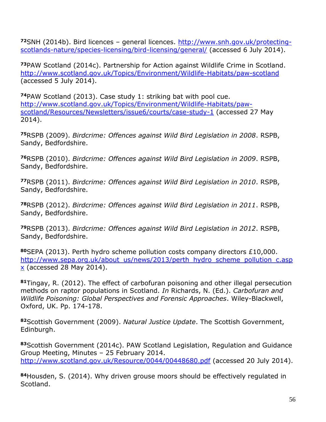**<sup>72</sup>**SNH (2014b). Bird licences – general licences. [http://www.snh.gov.uk/protecting](http://www.snh.gov.uk/protecting-scotlands-nature/species-licensing/bird-licensing/general/)[scotlands-nature/species-licensing/bird-licensing/general/](http://www.snh.gov.uk/protecting-scotlands-nature/species-licensing/bird-licensing/general/) (accessed 6 July 2014).

**<sup>73</sup>**PAW Scotland (2014c). Partnership for Action against Wildlife Crime in Scotland. <http://www.scotland.gov.uk/Topics/Environment/Wildlife-Habitats/paw-scotland> (accessed 5 July 2014).

**<sup>74</sup>**PAW Scotland (2013). Case study 1: striking bat with pool cue. [http://www.scotland.gov.uk/Topics/Environment/Wildlife-Habitats/paw](http://www.scotland.gov.uk/Topics/Environment/Wildlife-Habitats/paw-scotland/Resources/Newsletters/issue6/courts/case-study-1)[scotland/Resources/Newsletters/issue6/courts/case-study-1](http://www.scotland.gov.uk/Topics/Environment/Wildlife-Habitats/paw-scotland/Resources/Newsletters/issue6/courts/case-study-1) (accessed 27 May 2014).

**<sup>75</sup>**RSPB (2009). *Birdcrime: Offences against Wild Bird Legislation in 2008*. RSPB, Sandy, Bedfordshire.

**<sup>76</sup>**RSPB (2010). *Birdcrime: Offences against Wild Bird Legislation in 2009*. RSPB, Sandy, Bedfordshire.

**<sup>77</sup>**RSPB (2011). *Birdcrime: Offences against Wild Bird Legislation in 2010*. RSPB, Sandy, Bedfordshire.

**<sup>78</sup>**RSPB (2012). *Birdcrime: Offences against Wild Bird Legislation in 2011*. RSPB, Sandy, Bedfordshire.

**<sup>79</sup>**RSPB (2013). *Birdcrime: Offences against Wild Bird Legislation in 2012*. RSPB, Sandy, Bedfordshire.

**<sup>80</sup>**SEPA (2013). Perth hydro scheme pollution costs company directors £10,000. [http://www.sepa.org.uk/about\\_us/news/2013/perth\\_hydro\\_scheme\\_pollution\\_c.asp](http://www.sepa.org.uk/about_us/news/2013/perth_hydro_scheme_pollution_c.aspx)  $x$  (accessed 28 May 2014).

**<sup>81</sup>**Tingay, R. (2012). The effect of carbofuran poisoning and other illegal persecution methods on raptor populations in Scotland. *In* Richards, N. (Ed.). *Carbofuran and Wildlife Poisoning: Global Perspectives and Forensic Approaches*. Wiley-Blackwell, Oxford, UK. Pp. 174-178.

**<sup>82</sup>**Scottish Government (2009). *Natural Justice Update*. The Scottish Government, Edinburgh.

**<sup>83</sup>**Scottish Government (2014c). PAW Scotland Legislation, Regulation and Guidance Group Meeting, Minutes – 25 February 2014. <http://www.scotland.gov.uk/Resource/0044/00448680.pdf> (accessed 20 July 2014).

**<sup>84</sup>**Housden, S. (2014). Why driven grouse moors should be effectively regulated in Scotland.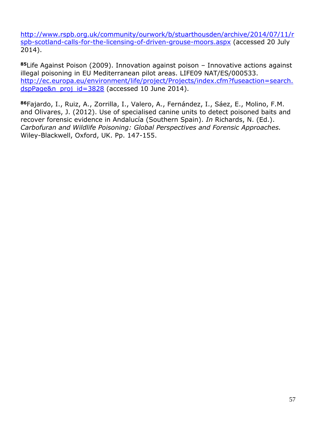[http://www.rspb.org.uk/community/ourwork/b/stuarthousden/archive/2014/07/11/r](http://www.rspb.org.uk/community/ourwork/b/stuarthousden/archive/2014/07/11/rspb-scotland-calls-for-the-licensing-of-driven-grouse-moors.aspx) [spb-scotland-calls-for-the-licensing-of-driven-grouse-moors.aspx](http://www.rspb.org.uk/community/ourwork/b/stuarthousden/archive/2014/07/11/rspb-scotland-calls-for-the-licensing-of-driven-grouse-moors.aspx) (accessed 20 July 2014).

**<sup>85</sup>**Life Against Poison (2009). Innovation against poison – Innovative actions against illegal poisoning in EU Mediterranean pilot areas. LIFE09 NAT/ES/000533. [http://ec.europa.eu/environment/life/project/Projects/index.cfm?fuseaction=search.](http://ec.europa.eu/environment/life/project/Projects/index.cfm?fuseaction=search.dspPage&n_proj_id=3828) [dspPage&n\\_proj\\_id=3828](http://ec.europa.eu/environment/life/project/Projects/index.cfm?fuseaction=search.dspPage&n_proj_id=3828) (accessed 10 June 2014).

**<sup>86</sup>**Fajardo, I., Ruiz, A., Zorrilla, I., Valero, A., Fernández, I., Sáez, E., Molino, F.M. and Olivares, J. (2012). Use of specialised canine units to detect poisoned baits and recover forensic evidence in Andalucía (Southern Spain). *In* Richards, N. (Ed.). *Carbofuran and Wildlife Poisoning: Global Perspectives and Forensic Approaches.* Wiley-Blackwell, Oxford, UK. Pp. 147-155.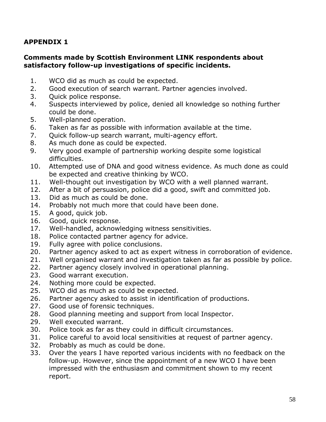#### **Comments made by Scottish Environment LINK respondents about satisfactory follow-up investigations of specific incidents.**

- 1. WCO did as much as could be expected.
- 2. Good execution of search warrant. Partner agencies involved.
- 3. Quick police response.
- 4. Suspects interviewed by police, denied all knowledge so nothing further could be done.
- 5. Well-planned operation.
- 6. Taken as far as possible with information available at the time.
- 7. Quick follow-up search warrant, multi-agency effort.
- 8. As much done as could be expected.
- 9. Very good example of partnership working despite some logistical difficulties.
- 10. Attempted use of DNA and good witness evidence. As much done as could be expected and creative thinking by WCO.
- 11. Well-thought out investigation by WCO with a well planned warrant.
- 12. After a bit of persuasion, police did a good, swift and committed job.
- 13. Did as much as could be done.
- 14. Probably not much more that could have been done.
- 15. A good, quick job.
- 16. Good, quick response.
- 17. Well-handled, acknowledging witness sensitivities.
- 18. Police contacted partner agency for advice.
- 19. Fully agree with police conclusions.
- 20. Partner agency asked to act as expert witness in corroboration of evidence.
- 21. Well organised warrant and investigation taken as far as possible by police.
- 22. Partner agency closely involved in operational planning.
- 23. Good warrant execution.
- 24. Nothing more could be expected.
- 25. WCO did as much as could be expected.
- 26. Partner agency asked to assist in identification of productions.
- 27. Good use of forensic techniques.
- 28. Good planning meeting and support from local Inspector.
- 29. Well executed warrant.
- 30. Police took as far as they could in difficult circumstances.
- 31. Police careful to avoid local sensitivities at request of partner agency.
- 32. Probably as much as could be done.
- 33. Over the years I have reported various incidents with no feedback on the follow-up. However, since the appointment of a new WCO I have been impressed with the enthusiasm and commitment shown to my recent report.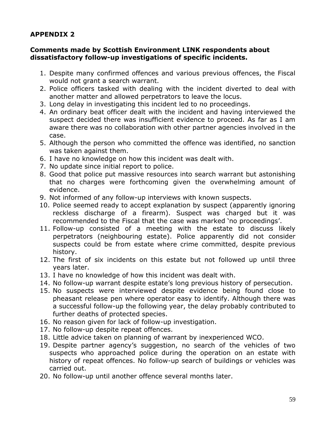#### **Comments made by Scottish Environment LINK respondents about dissatisfactory follow-up investigations of specific incidents.**

- 1. Despite many confirmed offences and various previous offences, the Fiscal would not grant a search warrant.
- 2. Police officers tasked with dealing with the incident diverted to deal with another matter and allowed perpetrators to leave the locus.
- 3. Long delay in investigating this incident led to no proceedings.
- 4. An ordinary beat officer dealt with the incident and having interviewed the suspect decided there was insufficient evidence to proceed. As far as I am aware there was no collaboration with other partner agencies involved in the case.
- 5. Although the person who committed the offence was identified, no sanction was taken against them.
- 6. I have no knowledge on how this incident was dealt with.
- 7. No update since initial report to police.
- 8. Good that police put massive resources into search warrant but astonishing that no charges were forthcoming given the overwhelming amount of evidence.
- 9. Not informed of any follow-up interviews with known suspects.
- 10. Police seemed ready to accept explanation by suspect (apparently ignoring reckless discharge of a firearm). Suspect was charged but it was recommended to the Fiscal that the case was marked 'no proceedings'.
- 11. Follow-up consisted of a meeting with the estate to discuss likely perpetrators (neighbouring estate). Police apparently did not consider suspects could be from estate where crime committed, despite previous history.
- 12. The first of six incidents on this estate but not followed up until three years later.
- 13. I have no knowledge of how this incident was dealt with.
- 14. No follow-up warrant despite estate's long previous history of persecution.
- 15. No suspects were interviewed despite evidence being found close to pheasant release pen where operator easy to identify. Although there was a successful follow-up the following year, the delay probably contributed to further deaths of protected species.
- 16. No reason given for lack of follow-up investigation.
- 17. No follow-up despite repeat offences.
- 18. Little advice taken on planning of warrant by inexperienced WCO.
- 19. Despite partner agency's suggestion, no search of the vehicles of two suspects who approached police during the operation on an estate with history of repeat offences. No follow-up search of buildings or vehicles was carried out.
- 20. No follow-up until another offence several months later.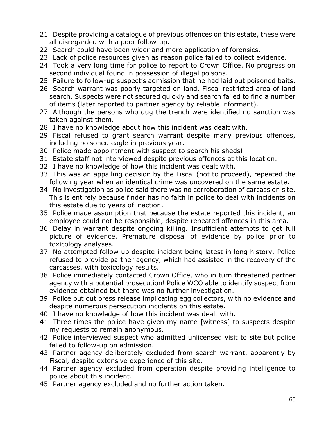- 21. Despite providing a catalogue of previous offences on this estate, these were all disregarded with a poor follow-up.
- 22. Search could have been wider and more application of forensics.
- 23. Lack of police resources given as reason police failed to collect evidence.
- 24. Took a very long time for police to report to Crown Office. No progress on second individual found in possession of illegal poisons.
- 25. Failure to follow-up suspect's admission that he had laid out poisoned baits.
- 26. Search warrant was poorly targeted on land. Fiscal restricted area of land search. Suspects were not secured quickly and search failed to find a number of items (later reported to partner agency by reliable informant).
- 27. Although the persons who dug the trench were identified no sanction was taken against them.
- 28. I have no knowledge about how this incident was dealt with.
- 29. Fiscal refused to grant search warrant despite many previous offences, including poisoned eagle in previous year.
- 30. Police made appointment with suspect to search his sheds!!
- 31. Estate staff not interviewed despite previous offences at this location.
- 32. I have no knowledge of how this incident was dealt with.
- 33. This was an appalling decision by the Fiscal (not to proceed), repeated the following year when an identical crime was uncovered on the same estate.
- 34. No investigation as police said there was no corroboration of carcass on site. This is entirely because finder has no faith in police to deal with incidents on this estate due to years of inaction.
- 35. Police made assumption that because the estate reported this incident, an employee could not be responsible, despite repeated offences in this area.
- 36. Delay in warrant despite ongoing killing. Insufficient attempts to get full picture of evidence. Premature disposal of evidence by police prior to toxicology analyses.
- 37. No attempted follow up despite incident being latest in long history. Police refused to provide partner agency, which had assisted in the recovery of the carcasses, with toxicology results.
- 38. Police immediately contacted Crown Office, who in turn threatened partner agency with a potential prosecution! Police WCO able to identify suspect from evidence obtained but there was no further investigation.
- 39. Police put out press release implicating egg collectors, with no evidence and despite numerous persecution incidents on this estate.
- 40. I have no knowledge of how this incident was dealt with.
- 41. Three times the police have given my name [witness] to suspects despite my requests to remain anonymous.
- 42. Police interviewed suspect who admitted unlicensed visit to site but police failed to follow-up on admission.
- 43. Partner agency deliberately excluded from search warrant, apparently by Fiscal, despite extensive experience of this site.
- 44. Partner agency excluded from operation despite providing intelligence to police about this incident.
- 45. Partner agency excluded and no further action taken.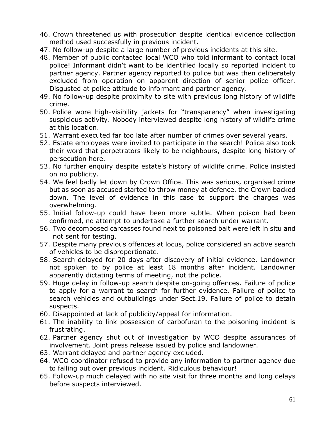- 46. Crown threatened us with prosecution despite identical evidence collection method used successfully in previous incident.
- 47. No follow-up despite a large number of previous incidents at this site.
- 48. Member of public contacted local WCO who told informant to contact local police! Informant didn't want to be identified locally so reported incident to partner agency. Partner agency reported to police but was then deliberately excluded from operation on apparent direction of senior police officer. Disgusted at police attitude to informant and partner agency.
- 49. No follow-up despite proximity to site with previous long history of wildlife crime.
- 50. Police wore high-visibility jackets for "transparency" when investigating suspicious activity. Nobody interviewed despite long history of wildlife crime at this location.
- 51. Warrant executed far too late after number of crimes over several years.
- 52. Estate employees were invited to participate in the search! Police also took their word that perpetrators likely to be neighbours, despite long history of persecution here.
- 53. No further enquiry despite estate's history of wildlife crime. Police insisted on no publicity.
- 54. We feel badly let down by Crown Office. This was serious, organised crime but as soon as accused started to throw money at defence, the Crown backed down. The level of evidence in this case to support the charges was overwhelming.
- 55. Initial follow-up could have been more subtle. When poison had been confirmed, no attempt to undertake a further search under warrant.
- 56. Two decomposed carcasses found next to poisoned bait were left in situ and not sent for testing.
- 57. Despite many previous offences at locus, police considered an active search of vehicles to be disproportionate.
- 58. Search delayed for 20 days after discovery of initial evidence. Landowner not spoken to by police at least 18 months after incident. Landowner apparently dictating terms of meeting, not the police.
- 59. Huge delay in follow-up search despite on-going offences. Failure of police to apply for a warrant to search for further evidence. Failure of police to search vehicles and outbuildings under Sect.19. Failure of police to detain suspects.
- 60. Disappointed at lack of publicity/appeal for information.
- 61. The inability to link possession of carbofuran to the poisoning incident is frustrating.
- 62. Partner agency shut out of investigation by WCO despite assurances of involvement. Joint press release issued by police and landowner.
- 63. Warrant delayed and partner agency excluded.
- 64. WCO coordinator refused to provide any information to partner agency due to falling out over previous incident. Ridiculous behaviour!
- 65. Follow-up much delayed with no site visit for three months and long delays before suspects interviewed.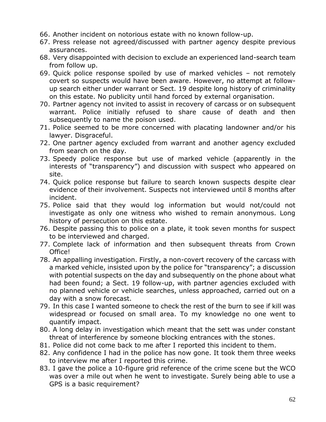- 66. Another incident on notorious estate with no known follow-up.
- 67. Press release not agreed/discussed with partner agency despite previous assurances.
- 68. Very disappointed with decision to exclude an experienced land-search team from follow up.
- 69. Quick police response spoiled by use of marked vehicles not remotely covert so suspects would have been aware. However, no attempt at followup search either under warrant or Sect. 19 despite long history of criminality on this estate. No publicity until hand forced by external organisation.
- 70. Partner agency not invited to assist in recovery of carcass or on subsequent warrant. Police initially refused to share cause of death and then subsequently to name the poison used.
- 71. Police seemed to be more concerned with placating landowner and/or his lawyer. Disgraceful.
- 72. One partner agency excluded from warrant and another agency excluded from search on the day.
- 73. Speedy police response but use of marked vehicle (apparently in the interests of "transparency") and discussion with suspect who appeared on site.
- 74. Quick police response but failure to search known suspects despite clear evidence of their involvement. Suspects not interviewed until 8 months after incident.
- 75. Police said that they would log information but would not/could not investigate as only one witness who wished to remain anonymous. Long history of persecution on this estate.
- 76. Despite passing this to police on a plate, it took seven months for suspect to be interviewed and charged.
- 77. Complete lack of information and then subsequent threats from Crown Office!
- 78. An appalling investigation. Firstly, a non-covert recovery of the carcass with a marked vehicle, insisted upon by the police for "transparency"; a discussion with potential suspects on the day and subsequently on the phone about what had been found; a Sect. 19 follow-up, with partner agencies excluded with no planned vehicle or vehicle searches, unless approached, carried out on a day with a snow forecast.
- 79. In this case I wanted someone to check the rest of the burn to see if kill was widespread or focused on small area. To my knowledge no one went to quantify impact.
- 80. A long delay in investigation which meant that the sett was under constant threat of interference by someone blocking entrances with the stones.
- 81. Police did not come back to me after I reported this incident to them.
- 82. Any confidence I had in the police has now gone. It took them three weeks to interview me after I reported this crime.
- 83. I gave the police a 10-figure grid reference of the crime scene but the WCO was over a mile out when he went to investigate. Surely being able to use a GPS is a basic requirement?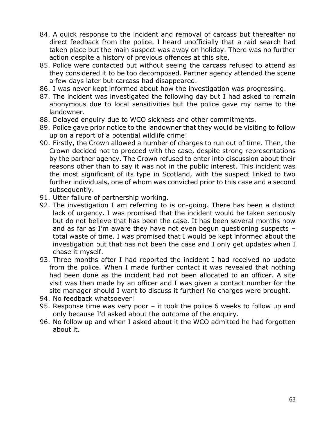- 84. A quick response to the incident and removal of carcass but thereafter no direct feedback from the police. I heard unofficially that a raid search had taken place but the main suspect was away on holiday. There was no further action despite a history of previous offences at this site.
- 85. Police were contacted but without seeing the carcass refused to attend as they considered it to be too decomposed. Partner agency attended the scene a few days later but carcass had disappeared.
- 86. I was never kept informed about how the investigation was progressing.
- 87. The incident was investigated the following day but I had asked to remain anonymous due to local sensitivities but the police gave my name to the landowner.
- 88. Delayed enquiry due to WCO sickness and other commitments.
- 89. Police gave prior notice to the landowner that they would be visiting to follow up on a report of a potential wildlife crime!
- 90. Firstly, the Crown allowed a number of charges to run out of time. Then, the Crown decided not to proceed with the case, despite strong representations by the partner agency. The Crown refused to enter into discussion about their reasons other than to say it was not in the public interest. This incident was the most significant of its type in Scotland, with the suspect linked to two further individuals, one of whom was convicted prior to this case and a second subsequently.
- 91. Utter failure of partnership working.
- 92. The investigation I am referring to is on-going. There has been a distinct lack of urgency. I was promised that the incident would be taken seriously but do not believe that has been the case. It has been several months now and as far as I'm aware they have not even begun questioning suspects – total waste of time. I was promised that I would be kept informed about the investigation but that has not been the case and I only get updates when I chase it myself.
- 93. Three months after I had reported the incident I had received no update from the police. When I made further contact it was revealed that nothing had been done as the incident had not been allocated to an officer. A site visit was then made by an officer and I was given a contact number for the site manager should I want to discuss it further! No charges were brought.
- 94. No feedback whatsoever!
- 95. Response time was very poor it took the police 6 weeks to follow up and only because I'd asked about the outcome of the enquiry.
- 96. No follow up and when I asked about it the WCO admitted he had forgotten about it.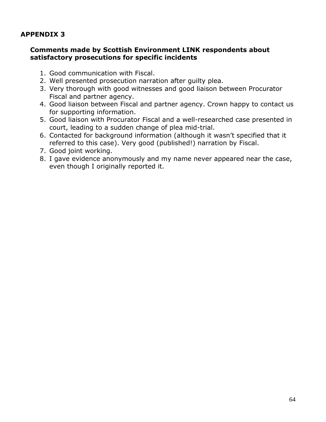#### **Comments made by Scottish Environment LINK respondents about satisfactory prosecutions for specific incidents**

- 1. Good communication with Fiscal.
- 2. Well presented prosecution narration after guilty plea.
- 3. Very thorough with good witnesses and good liaison between Procurator Fiscal and partner agency.
- 4. Good liaison between Fiscal and partner agency. Crown happy to contact us for supporting information.
- 5. Good liaison with Procurator Fiscal and a well-researched case presented in court, leading to a sudden change of plea mid-trial.
- 6. Contacted for background information (although it wasn't specified that it referred to this case). Very good (published!) narration by Fiscal.
- 7. Good joint working.
- 8. I gave evidence anonymously and my name never appeared near the case, even though I originally reported it.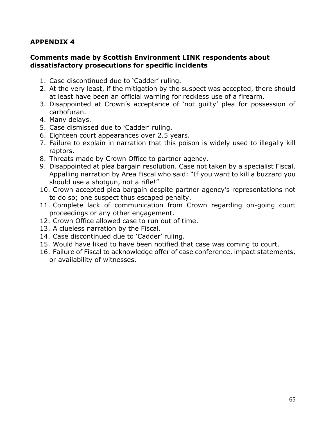#### **Comments made by Scottish Environment LINK respondents about dissatisfactory prosecutions for specific incidents**

- 1. Case discontinued due to 'Cadder' ruling.
- 2. At the very least, if the mitigation by the suspect was accepted, there should at least have been an official warning for reckless use of a firearm.
- 3. Disappointed at Crown's acceptance of 'not guilty' plea for possession of carbofuran.
- 4. Many delays.
- 5. Case dismissed due to 'Cadder' ruling.
- 6. Eighteen court appearances over 2.5 years.
- 7. Failure to explain in narration that this poison is widely used to illegally kill raptors.
- 8. Threats made by Crown Office to partner agency.
- 9. Disappointed at plea bargain resolution. Case not taken by a specialist Fiscal. Appalling narration by Area Fiscal who said: "If you want to kill a buzzard you should use a shotgun, not a rifle!"
- 10. Crown accepted plea bargain despite partner agency's representations not to do so; one suspect thus escaped penalty.
- 11. Complete lack of communication from Crown regarding on-going court proceedings or any other engagement.
- 12. Crown Office allowed case to run out of time.
- 13. A clueless narration by the Fiscal.
- 14. Case discontinued due to 'Cadder' ruling.
- 15. Would have liked to have been notified that case was coming to court.
- 16. Failure of Fiscal to acknowledge offer of case conference, impact statements, or availability of witnesses.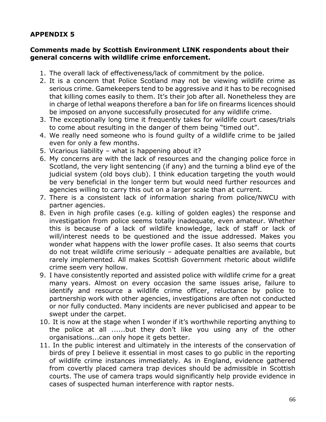#### **Comments made by Scottish Environment LINK respondents about their general concerns with wildlife crime enforcement.**

- 1. The overall lack of effectiveness/lack of commitment by the police.
- 2. It is a concern that Police Scotland may not be viewing wildlife crime as serious crime. Gamekeepers tend to be aggressive and it has to be recognised that killing comes easily to them. It's their job after all. Nonetheless they are in charge of lethal weapons therefore a ban for life on firearms licences should be imposed on anyone successfully prosecuted for any wildlife crime.
- 3. The exceptionally long time it frequently takes for wildlife court cases/trials to come about resulting in the danger of them being "timed out".
- 4. We really need someone who is found guilty of a wildlife crime to be jailed even for only a few months.
- 5. Vicarious liability what is happening about it?
- 6. My concerns are with the lack of resources and the changing police force in Scotland, the very light sentencing (if any) and the turning a blind eye of the judicial system (old boys club). I think education targeting the youth would be very beneficial in the longer term but would need further resources and agencies willing to carry this out on a larger scale than at current.
- 7. There is a consistent lack of information sharing from police/NWCU with partner agencies.
- 8. Even in high profile cases (e.g. killing of golden eagles) the response and investigation from police seems totally inadequate, even amateur. Whether this is because of a lack of wildlife knowledge, lack of staff or lack of will/interest needs to be questioned and the issue addressed. Makes you wonder what happens with the lower profile cases. It also seems that courts do not treat wildlife crime seriously – adequate penalties are available, but rarely implemented. All makes Scottish Government rhetoric about wildlife crime seem very hollow.
- 9. I have consistently reported and assisted police with wildlife crime for a great many years. Almost on every occasion the same issues arise, failure to identify and resource a wildlife crime officer, reluctance by police to partnership work with other agencies, investigations are often not conducted or nor fully conducted. Many incidents are never publicised and appear to be swept under the carpet.
- 10. It is now at the stage when I wonder if it's worthwhile reporting anything to the police at all ......but they don't like you using any of the other organisations...can only hope it gets better.
- 11. In the public interest and ultimately in the interests of the conservation of birds of prey I believe it essential in most cases to go public in the reporting of wildlife crime instances immediately. As in England, evidence gathered from covertly placed camera trap devices should be admissible in Scottish courts. The use of camera traps would significantly help provide evidence in cases of suspected human interference with raptor nests.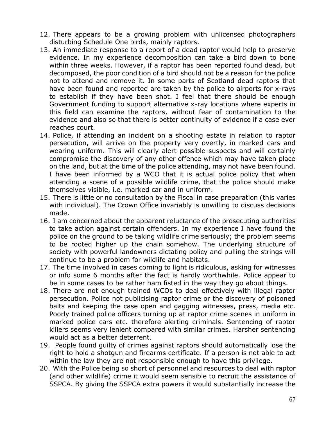- 12. There appears to be a growing problem with unlicensed photographers disturbing Schedule One birds, mainly raptors.
- 13. An immediate response to a report of a dead raptor would help to preserve evidence. In my experience decomposition can take a bird down to bone within three weeks. However, if a raptor has been reported found dead, but decomposed, the poor condition of a bird should not be a reason for the police not to attend and remove it. In some parts of Scotland dead raptors that have been found and reported are taken by the police to airports for x-rays to establish if they have been shot. I feel that there should be enough Government funding to support alternative x-ray locations where experts in this field can examine the raptors, without fear of contamination to the evidence and also so that there is better continuity of evidence if a case ever reaches court.
- 14. Police, if attending an incident on a shooting estate in relation to raptor persecution, will arrive on the property very overtly, in marked cars and wearing uniform. This will clearly alert possible suspects and will certainly compromise the discovery of any other offence which may have taken place on the land, but at the time of the police attending, may not have been found. I have been informed by a WCO that it is actual police policy that when attending a scene of a possible wildlife crime, that the police should make themselves visible, i.e. marked car and in uniform.
- 15. There is little or no consultation by the Fiscal in case preparation (this varies with individual). The Crown Office invariably is unwilling to discuss decisions made.
- 16. I am concerned about the apparent reluctance of the prosecuting authorities to take action against certain offenders. In my experience I have found the police on the ground to be taking wildlife crime seriously; the problem seems to be rooted higher up the chain somehow. The underlying structure of society with powerful landowners dictating policy and pulling the strings will continue to be a problem for wildlife and habitats.
- 17. The time involved in cases coming to light is ridiculous, asking for witnesses or info some 6 months after the fact is hardly worthwhile. Police appear to be in some cases to be rather ham fisted in the way they go about things.
- 18. There are not enough trained WCOs to deal effectively with illegal raptor persecution. Police not publicising raptor crime or the discovery of poisoned baits and keeping the case open and gagging witnesses, press, media etc. Poorly trained police officers turning up at raptor crime scenes in uniform in marked police cars etc. therefore alerting criminals. Sentencing of raptor killers seems very lenient compared with similar crimes. Harsher sentencing would act as a better deterrent.
- 19. People found guilty of crimes against raptors should automatically lose the right to hold a shotgun and firearms certificate. If a person is not able to act within the law they are not responsible enough to have this privilege.
- 20. With the Police being so short of personnel and resources to deal with raptor (and other wildlife) crime it would seem sensible to recruit the assistance of SSPCA. By giving the SSPCA extra powers it would substantially increase the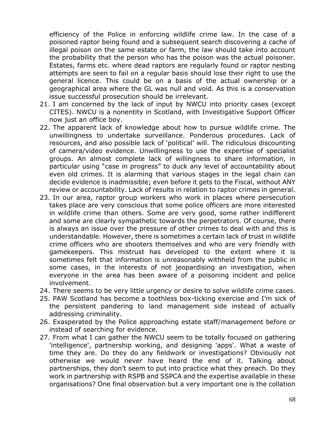efficiency of the Police in enforcing wildlife crime law. In the case of a poisoned raptor being found and a subsequent search discovering a cache of illegal poison on the same estate or farm, the law should take into account the probability that the person who has the poison was the actual poisoner. Estates, farms etc. where dead raptors are regularly found or raptor nesting attempts are seen to fail on a regular basis should lose their right to use the general licence. This could be on a basis of the actual ownership or a geographical area where the GL was null and void. As this is a conservation issue successful prosecution should be irrelevant.

- 21. I am concerned by the lack of input by NWCU into priority cases (except CITES). NWCU is a nonentity in Scotland, with Investigative Support Officer now just an office boy.
- 22. The apparent lack of knowledge about how to pursue wildlife crime. The unwillingness to undertake surveillance. Ponderous procedures. Lack of resources, and also possible lack of 'political' will. The ridiculous discounting of camera/video evidence. Unwillingness to use the expertise of specialist groups. An almost complete lack of willingness to share information, in particular using "case in progress" to duck any level of accountability about even old crimes. It is alarming that various stages in the legal chain can decide evidence is inadmissible; even before it gets to the Fiscal, without ANY review or accountability. Lack of results in relation to raptor crimes in general.
- 23. In our area, raptor group workers who work in places where persecution takes place are very conscious that some police officers are more interested in wildlife crime than others. Some are very good, some rather indifferent and some are clearly sympathetic towards the perpetrators. Of course, there is always an issue over the pressure of other crimes to deal with and this is understandable. However, there is sometimes a certain lack of trust in wildlife crime officers who are shooters themselves and who are very friendly with gamekeepers. This mistrust has developed to the extent where it is sometimes felt that information is unreasonably withheld from the public in some cases, in the interests of not jeopardising an investigation, when everyone in the area has been aware of a poisoning incident and police involvement.
- 24. There seems to be very little urgency or desire to solve wildlife crime cases.
- 25. PAW Scotland has become a toothless box-ticking exercise and I'm sick of the persistent pandering to land management side instead of actually addressing criminality.
- 26. Exasperated by the Police approaching estate staff/management before or instead of searching for evidence.
- 27. From what I can gather the NWCU seem to be totally focused on gathering 'intelligence', partnership working, and designing 'apps'. What a waste of time they are. Do they do any fieldwork or investigations? Obviously not otherwise we would never have heard the end of it. Talking about partnerships, they don't seem to put into practice what they preach. Do they work in partnership with RSPB and SSPCA and the expertise available in these organisations? One final observation but a very important one is the collation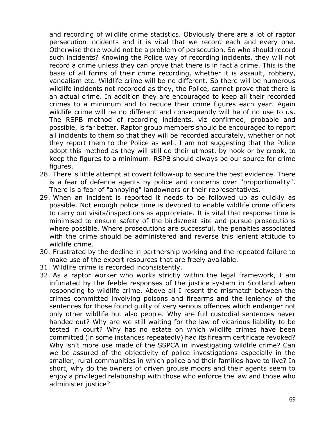and recording of wildlife crime statistics. Obviously there are a lot of raptor persecution incidents and it is vital that we record each and every one. Otherwise there would not be a problem of persecution. So who should record such incidents? Knowing the Police way of recording incidents, they will not record a crime unless they can prove that there is in fact a crime. This is the basis of all forms of their crime recording, whether it is assault, robbery, vandalism etc. Wildlife crime will be no different. So there will be numerous wildlife incidents not recorded as they, the Police, cannot prove that there is an actual crime. In addition they are encouraged to keep all their recorded crimes to a minimum and to reduce their crime figures each year. Again wildlife crime will be no different and consequently will be of no use to us. The RSPB method of recording incidents, viz confirmed, probable and possible, is far better. Raptor group members should be encouraged to report all incidents to them so that they will be recorded accurately, whether or not they report them to the Police as well. I am not suggesting that the Police adopt this method as they will still do their utmost, by hook or by crook, to keep the figures to a minimum. RSPB should always be our source for crime figures.

- 28. There is little attempt at covert follow-up to secure the best evidence. There is a fear of defence agents by police and concerns over "proportionality". There is a fear of "annoying" landowners or their representatives.
- 29. When an incident is reported it needs to be followed up as quickly as possible. Not enough police time is devoted to enable wildlife crime officers to carry out visits/inspections as appropriate. It is vital that response time is minimised to ensure safety of the birds/nest site and pursue prosecutions where possible. Where prosecutions are successful, the penalties associated with the crime should be administered and reverse this lenient attitude to wildlife crime.
- 30. Frustrated by the decline in partnership working and the repeated failure to make use of the expert resources that are freely available.
- 31. Wildlife crime is recorded inconsistently.
- 32. As a raptor worker who works strictly within the legal framework, I am infuriated by the feeble responses of the justice system in Scotland when responding to wildlife crime. Above all I resent the mismatch between the crimes committed involving poisons and firearms and the leniency of the sentences for those found guilty of very serious offences which endanger not only other wildlife but also people. Why are full custodial sentences never handed out? Why are we still waiting for the law of vicarious liability to be tested in court? Why has no estate on which wildlife crimes have been committed (in some instances repeatedly) had its firearm certificate revoked? Why isn't more use made of the SSPCA in investigating wildlife crime? Can we be assured of the objectivity of police investigations especially in the smaller, rural communities in which police and their families have to live? In short, why do the owners of driven grouse moors and their agents seem to enjoy a privileged relationship with those who enforce the law and those who administer justice?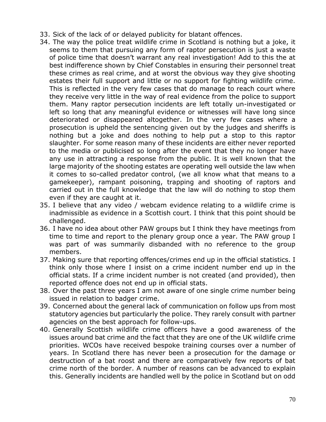- 33. Sick of the lack of or delayed publicity for blatant offences.
- 34. The way the police treat wildlife crime in Scotland is nothing but a joke, it seems to them that pursuing any form of raptor persecution is just a waste of police time that doesn't warrant any real investigation! Add to this the at best indifference shown by Chief Constables in ensuring their personnel treat these crimes as real crime, and at worst the obvious way they give shooting estates their full support and little or no support for fighting wildlife crime. This is reflected in the very few cases that do manage to reach court where they receive very little in the way of real evidence from the police to support them. Many raptor persecution incidents are left totally un-investigated or left so long that any meaningful evidence or witnesses will have long since deteriorated or disappeared altogether. In the very few cases where a prosecution is upheld the sentencing given out by the judges and sheriffs is nothing but a joke and does nothing to help put a stop to this raptor slaughter. For some reason many of these incidents are either never reported to the media or publicised so long after the event that they no longer have any use in attracting a response from the public. It is well known that the large majority of the shooting estates are operating well outside the law when it comes to so-called predator control, (we all know what that means to a gamekeeper), rampant poisoning, trapping and shooting of raptors and carried out in the full knowledge that the law will do nothing to stop them even if they are caught at it.
- 35. I believe that any video / webcam evidence relating to a wildlife crime is inadmissible as evidence in a Scottish court. I think that this point should be challenged.
- 36. I have no idea about other PAW groups but I think they have meetings from time to time and report to the plenary group once a year. The PAW group I was part of was summarily disbanded with no reference to the group members.
- 37. Making sure that reporting offences/crimes end up in the official statistics. I think only those where I insist on a crime incident number end up in the official stats. If a crime incident number is not created (and provided), then reported offence does not end up in official stats.
- 38. Over the past three years I am not aware of one single crime number being issued in relation to badger crime.
- 39. Concerned about the general lack of communication on follow ups from most statutory agencies but particularly the police. They rarely consult with partner agencies on the best approach for follow-ups.
- 40. Generally Scottish wildlife crime officers have a good awareness of the issues around bat crime and the fact that they are one of the UK wildlife crime priorities. WCOs have received bespoke training courses over a number of years. In Scotland there has never been a prosecution for the damage or destruction of a bat roost and there are comparatively few reports of bat crime north of the border. A number of reasons can be advanced to explain this. Generally incidents are handled well by the police in Scotland but on odd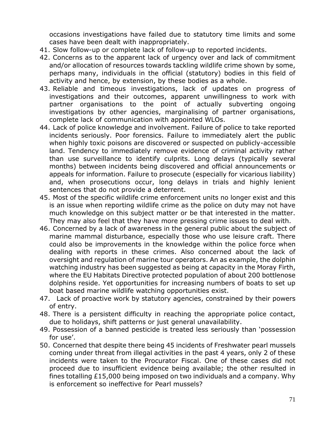occasions investigations have failed due to statutory time limits and some cases have been dealt with inappropriately.

- 41. Slow follow-up or complete lack of follow-up to reported incidents.
- 42. Concerns as to the apparent lack of urgency over and lack of commitment and/or allocation of resources towards tackling wildlife crime shown by some, perhaps many, individuals in the official (statutory) bodies in this field of activity and hence, by extension, by these bodies as a whole.
- 43. Reliable and timeous investigations, lack of updates on progress of investigations and their outcomes, apparent unwillingness to work with partner organisations to the point of actually subverting ongoing investigations by other agencies, marginalising of partner organisations, complete lack of communication with appointed WLOs.
- 44. Lack of police knowledge and involvement. Failure of police to take reported incidents seriously. Poor forensics. Failure to immediately alert the public when highly toxic poisons are discovered or suspected on publicly-accessible land. Tendency to immediately remove evidence of criminal activity rather than use surveillance to identify culprits. Long delays (typically several months) between incidents being discovered and official announcements or appeals for information. Failure to prosecute (especially for vicarious liability) and, when prosecutions occur, long delays in trials and highly lenient sentences that do not provide a deterrent.
- 45. Most of the specific wildlife crime enforcement units no longer exist and this is an issue when reporting wildlife crime as the police on duty may not have much knowledge on this subject matter or be that interested in the matter. They may also feel that they have more pressing crime issues to deal with.
- 46. Concerned by a lack of awareness in the general public about the subject of marine mammal disturbance, especially those who use leisure craft. There could also be improvements in the knowledge within the police force when dealing with reports in these crimes. Also concerned about the lack of oversight and regulation of marine tour operators. An as example, the dolphin watching industry has been suggested as being at capacity in the Moray Firth, where the EU Habitats Directive protected population of about 200 bottlenose dolphins reside. Yet opportunities for increasing numbers of boats to set up boat based marine wildlife watching opportunities exist.
- 47. Lack of proactive work by statutory agencies, constrained by their powers of entry.
- 48. There is a persistent difficulty in reaching the appropriate police contact, due to holidays, shift patterns or just general unavailability.
- 49. Possession of a banned pesticide is treated less seriously than 'possession for use'.
- 50. Concerned that despite there being 45 incidents of Freshwater pearl mussels coming under threat from illegal activities in the past 4 years, only 2 of these incidents were taken to the Procurator Fiscal. One of these cases did not proceed due to insufficient evidence being available; the other resulted in fines totalling £15,000 being imposed on two individuals and a company. Why is enforcement so ineffective for Pearl mussels?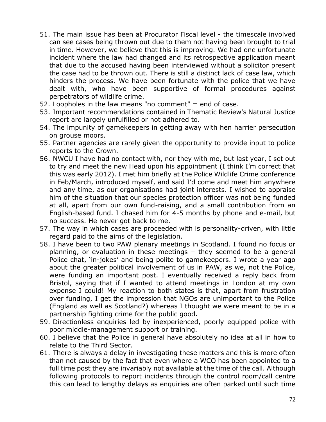- 51. The main issue has been at Procurator Fiscal level the timescale involved can see cases being thrown out due to them not having been brought to trial in time. However, we believe that this is improving. We had one unfortunate incident where the law had changed and its retrospective application meant that due to the accused having been interviewed without a solicitor present the case had to be thrown out. There is still a distinct lack of case law, which hinders the process. We have been fortunate with the police that we have dealt with, who have been supportive of formal procedures against perpetrators of wildlife crime.
- 52. Loopholes in the law means "no comment" = end of case.
- 53. Important recommendations contained in Thematic Review's Natural Justice report are largely unfulfilled or not adhered to.
- 54. The impunity of gamekeepers in getting away with hen harrier persecution on grouse moors.
- 55. Partner agencies are rarely given the opportunity to provide input to police reports to the Crown.
- 56. NWCU I have had no contact with, nor they with me, but last year, I set out to try and meet the new Head upon his appointment (I think I'm correct that this was early 2012). I met him briefly at the Police Wildlife Crime conference in Feb/March, introduced myself, and said I'd come and meet him anywhere and any time, as our organisations had joint interests. I wished to appraise him of the situation that our species protection officer was not being funded at all, apart from our own fund-raising, and a small contribution from an English-based fund. I chased him for 4-5 months by phone and e-mail, but no success. He never got back to me.
- 57. The way in which cases are proceeded with is personality-driven, with little regard paid to the aims of the legislation.
- 58. I have been to two PAW plenary meetings in Scotland. I found no focus or planning, or evaluation in these meetings – they seemed to be a general Police chat, 'in-jokes' and being polite to gamekeepers. I wrote a year ago about the greater political involvement of us in PAW, as we, not the Police, were funding an important post. I eventually received a reply back from Bristol, saying that if I wanted to attend meetings in London at my own expense I could! My reaction to both states is that, apart from frustration over funding, I get the impression that NGOs are unimportant to the Police (England as well as Scotland?) whereas I thought we were meant to be in a partnership fighting crime for the public good.
- 59. Directionless enquiries led by inexperienced, poorly equipped police with poor middle-management support or training.
- 60. I believe that the Police in general have absolutely no idea at all in how to relate to the Third Sector.
- 61. There is always a delay in investigating these matters and this is more often than not caused by the fact that even where a WCO has been appointed to a full time post they are invariably not available at the time of the call. Although following protocols to report incidents through the control room/call centre this can lead to lengthy delays as enquiries are often parked until such time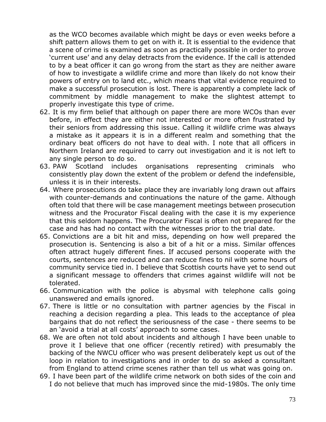as the WCO becomes available which might be days or even weeks before a shift pattern allows them to get on with it. It is essential to the evidence that a scene of crime is examined as soon as practically possible in order to prove 'current use' and any delay detracts from the evidence. If the call is attended to by a beat officer it can go wrong from the start as they are neither aware of how to investigate a wildlife crime and more than likely do not know their powers of entry on to land etc., which means that vital evidence required to make a successful prosecution is lost. There is apparently a complete lack of commitment by middle management to make the slightest attempt to properly investigate this type of crime.

- 62. It is my firm belief that although on paper there are more WCOs than ever before, in effect they are either not interested or more often frustrated by their seniors from addressing this issue. Calling it wildlife crime was always a mistake as it appears it is in a different realm and something that the ordinary beat officers do not have to deal with. I note that all officers in Northern Ireland are required to carry out investigation and it is not left to any single person to do so.
- 63. PAW Scotland includes organisations representing criminals who consistently play down the extent of the problem or defend the indefensible, unless it is in their interests.
- 64. Where prosecutions do take place they are invariably long drawn out affairs with counter-demands and continuations the nature of the game. Although often told that there will be case management meetings between prosecution witness and the Procurator Fiscal dealing with the case it is my experience that this seldom happens. The Procurator Fiscal is often not prepared for the case and has had no contact with the witnesses prior to the trial date.
- 65. Convictions are a bit hit and miss, depending on how well prepared the prosecution is. Sentencing is also a bit of a hit or a miss. Similar offences often attract hugely different fines. If accused persons cooperate with the courts, sentences are reduced and can reduce fines to nil with some hours of community service tied in. I believe that Scottish courts have yet to send out a significant message to offenders that crimes against wildlife will not be tolerated.
- 66. Communication with the police is abysmal with telephone calls going unanswered and emails ignored.
- 67. There is little or no consultation with partner agencies by the Fiscal in reaching a decision regarding a plea. This leads to the acceptance of plea bargains that do not reflect the seriousness of the case - there seems to be an 'avoid a trial at all costs' approach to some cases.
- 68. We are often not told about incidents and although I have been unable to prove it I believe that one officer (recently retired) with presumably the backing of the NWCU officer who was present deliberately kept us out of the loop in relation to investigations and in order to do so asked a consultant from England to attend crime scenes rather than tell us what was going on.
- 69. I have been part of the wildlife crime network on both sides of the coin and I do not believe that much has improved since the mid-1980s. The only time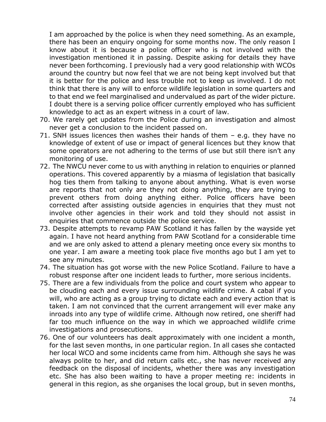I am approached by the police is when they need something. As an example, there has been an enquiry ongoing for some months now. The only reason I know about it is because a police officer who is not involved with the investigation mentioned it in passing. Despite asking for details they have never been forthcoming. I previously had a very good relationship with WCOs around the country but now feel that we are not being kept involved but that it is better for the police and less trouble not to keep us involved. I do not think that there is any will to enforce wildlife legislation in some quarters and to that end we feel marginalised and undervalued as part of the wider picture. I doubt there is a serving police officer currently employed who has sufficient knowledge to act as an expert witness in a court of law.

- 70. We rarely get updates from the Police during an investigation and almost never get a conclusion to the incident passed on.
- 71. SNH issues licences then washes their hands of them e.g. they have no knowledge of extent of use or impact of general licences but they know that some operators are not adhering to the terms of use but still there isn't any monitoring of use.
- 72. The NWCU never come to us with anything in relation to enquiries or planned operations. This covered apparently by a miasma of legislation that basically hog ties them from talking to anyone about anything. What is even worse are reports that not only are they not doing anything, they are trying to prevent others from doing anything either. Police officers have been corrected after assisting outside agencies in enquiries that they must not involve other agencies in their work and told they should not assist in enquiries that commence outside the police service.
- 73. Despite attempts to revamp PAW Scotland it has fallen by the wayside yet again. I have not heard anything from PAW Scotland for a considerable time and we are only asked to attend a plenary meeting once every six months to one year. I am aware a meeting took place five months ago but I am yet to see any minutes.
- 74. The situation has got worse with the new Police Scotland. Failure to have a robust response after one incident leads to further, more serious incidents.
- 75. There are a few individuals from the police and court system who appear to be clouding each and every issue surrounding wildlife crime. A cabal if you will, who are acting as a group trying to dictate each and every action that is taken. I am not convinced that the current arrangement will ever make any inroads into any type of wildlife crime. Although now retired, one sheriff had far too much influence on the way in which we approached wildlife crime investigations and prosecutions.
- 76. One of our volunteers has dealt approximately with one incident a month, for the last seven months, in one particular region. In all cases she contacted her local WCO and some incidents came from him. Although she says he was always polite to her, and did return calls etc., she has never received any feedback on the disposal of incidents, whether there was any investigation etc. She has also been waiting to have a proper meeting re: incidents in general in this region, as she organises the local group, but in seven months,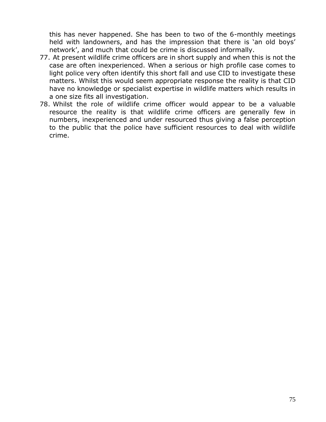this has never happened. She has been to two of the 6-monthly meetings held with landowners, and has the impression that there is 'an old boys' network', and much that could be crime is discussed informally.

- 77. At present wildlife crime officers are in short supply and when this is not the case are often inexperienced. When a serious or high profile case comes to light police very often identify this short fall and use CID to investigate these matters. Whilst this would seem appropriate response the reality is that CID have no knowledge or specialist expertise in wildlife matters which results in a one size fits all investigation.
- 78. Whilst the role of wildlife crime officer would appear to be a valuable resource the reality is that wildlife crime officers are generally few in numbers, inexperienced and under resourced thus giving a false perception to the public that the police have sufficient resources to deal with wildlife crime.